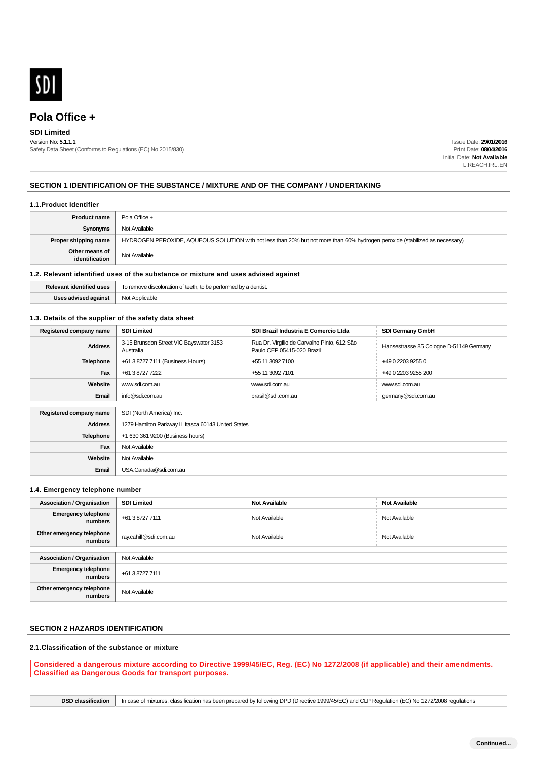

## **SDI Limited**

Version No: **5.1.1.1** Safety Data Sheet (Conforms to Regulations (EC) No 2015/830)

Issue Date: **29/01/2016** Print Date: **08/04/2016** Initial Date: **Not Available** L.REACH.IRL.EN

## **SECTION 1 IDENTIFICATION OF THE SUBSTANCE / MIXTURE AND OF THE COMPANY / UNDERTAKING**

#### **1.1.Product Identifier**

| <b>Product name</b>              | Pola Office +                                                                                                                |
|----------------------------------|------------------------------------------------------------------------------------------------------------------------------|
| Synonyms                         | Not Available                                                                                                                |
| Proper shipping name             | HYDROGEN PEROXIDE, AQUEOUS SOLUTION with not less than 20% but not more than 60% hydrogen peroxide (stabilized as necessary) |
| Other means of<br>identification | Not Available                                                                                                                |

#### **1.2. Relevant identified uses of the substance or mixture and uses advised against**

| : identified uses<br>Polovant    | ı dentist.<br>scoloration of teeth.<br>n ramove<br>i hv a<br>- שופי<br>. to be perform |  |  |
|----------------------------------|----------------------------------------------------------------------------------------|--|--|
| <b>Uses advised</b><br>l aɑainst | Nl∩t<br>pplicable<br>`YUL                                                              |  |  |

### **1.3. Details of the supplier of the safety data sheet**

| Registered company name | <b>SDI Limited</b>                                   | SDI Brazil Industria E Comercio Ltda                                      | <b>SDI Germany GmbH</b>                 |  |  |
|-------------------------|------------------------------------------------------|---------------------------------------------------------------------------|-----------------------------------------|--|--|
| <b>Address</b>          | 3-15 Brunsdon Street VIC Bayswater 3153<br>Australia | Rua Dr. Virgilio de Carvalho Pinto, 612 São<br>Paulo CEP 05415-020 Brazil | Hansestrasse 85 Cologne D-51149 Germany |  |  |
| <b>Telephone</b>        | +61 3 8727 7111 (Business Hours)                     | +55 11 3092 7100                                                          | +49 0 2203 9255 0                       |  |  |
| Fax                     | +61 3 8727 7222                                      | +55 11 3092 7101                                                          | +49 0 2203 9255 200                     |  |  |
| Website                 | www.sdi.com.au                                       | www.sdi.com.au                                                            | www.sdi.com.au                          |  |  |
| Email                   | info@sdi.com.au                                      | brasil@sdi.com.au                                                         | germany@sdi.com.au                      |  |  |
|                         |                                                      |                                                                           |                                         |  |  |
| Registered company name | SDI (North America) Inc.                             |                                                                           |                                         |  |  |
| <b>Address</b>          | 1279 Hamilton Parkway IL Itasca 60143 United States  |                                                                           |                                         |  |  |
| <b>Telephone</b>        | +1 630 361 9200 (Business hours)                     |                                                                           |                                         |  |  |
| Fax                     | Not Available                                        |                                                                           |                                         |  |  |
| Website                 | Not Available                                        |                                                                           |                                         |  |  |
| Email                   | USA.Canada@sdi.com.au                                |                                                                           |                                         |  |  |

### **1.4. Emergency telephone number**

| <b>Association / Organisation</b>     | <b>SDI Limited</b>    | <b>Not Available</b> | <b>Not Available</b> |
|---------------------------------------|-----------------------|----------------------|----------------------|
| <b>Emergency telephone</b><br>numbers | +61 3 8727 7111       | Not Available        | Not Available        |
| Other emergency telephone<br>numbers  | ray.cahill@sdi.com.au | Not Available        | Not Available        |
|                                       |                       |                      |                      |
| <b>Association / Organisation</b>     | Not Available         |                      |                      |
| <b>Emergency telephone</b><br>numbers | +61 3 8727 7111       |                      |                      |
| Other emergency telephone<br>numbers  | Not Available         |                      |                      |

## **SECTION 2 HAZARDS IDENTIFICATION**

### **2.1.Classification of the substance or mixture**

**Considered a dangerous mixture according to Directive 1999/45/EC, Reg. (EC) No 1272/2008 (if applicable) and their amendments. Classified as Dangerous Goods for transport purposes.**

**DSD classification** In case of mixtures, classification has been prepared by following DPD (Directive 1999/45/EC) and CLP Regulation (EC) No 1272/2008 regulations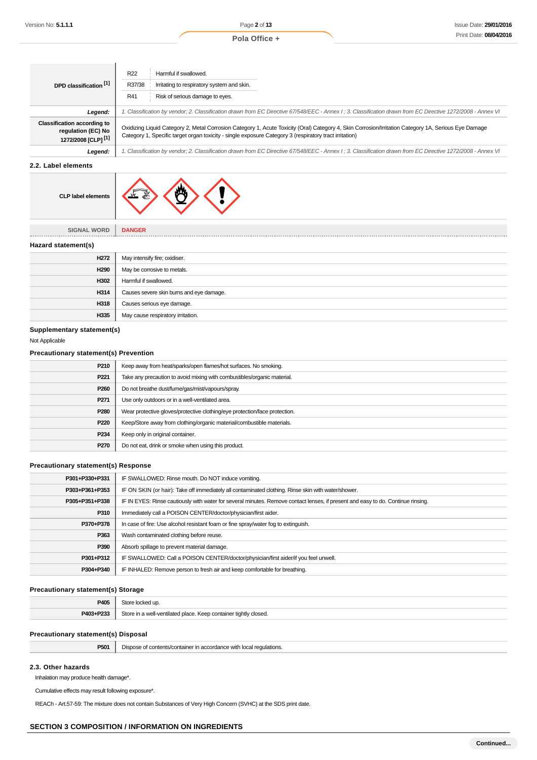............

| DPD classification [1]                                                                     | R <sub>22</sub><br>Harmful if swallowed.<br>R37/38<br>Irritating to respiratory system and skin.<br>R41<br>Risk of serious damage to eyes.                                                                                                                                                                                                                                                                                     |  |  |  |
|--------------------------------------------------------------------------------------------|--------------------------------------------------------------------------------------------------------------------------------------------------------------------------------------------------------------------------------------------------------------------------------------------------------------------------------------------------------------------------------------------------------------------------------|--|--|--|
| Legend:                                                                                    | 1. Classification by vendor; 2. Classification drawn from EC Directive 67/548/EEC - Annex I ; 3. Classification drawn from EC Directive 1272/2008 - Annex VI<br>Oxidizing Liquid Category 2, Metal Corrosion Category 1, Acute Toxicity (Oral) Category 4, Skin Corrosion/Irritation Category 1A, Serious Eye Damage<br>Category 1, Specific target organ toxicity - single exposure Category 3 (respiratory tract irritation) |  |  |  |
| <b>Classification according to</b><br>regulation (EC) No<br>1272/2008 [CLP] <sup>[1]</sup> |                                                                                                                                                                                                                                                                                                                                                                                                                                |  |  |  |
| Legend:                                                                                    | . Classification by vendor; 2. Classification drawn from EC Directive 67/548/EEC - Annex I ; 3. Classification drawn from EC Directive 1272/2008 - Annex VI                                                                                                                                                                                                                                                                    |  |  |  |

## **2.2. Label elements**

| <b>CLP label elements</b> |  |  |  |
|---------------------------|--|--|--|
|---------------------------|--|--|--|

**SIGNAL WORD DANGER** \_\_\_\_\_\_\_\_\_\_\_\_\_\_\_\_

**Hazard statement(s)**

| H <sub>272</sub> | May intensify fire; oxidiser.            |  |  |  |
|------------------|------------------------------------------|--|--|--|
| H <sub>290</sub> | May be corrosive to metals.              |  |  |  |
| H302             | Harmful if swallowed.                    |  |  |  |
| H314             | Causes severe skin burns and eye damage. |  |  |  |
| H318             | Causes serious eye damage.               |  |  |  |
| H335             | May cause respiratory irritation.        |  |  |  |

## **Supplementary statement(s)**

Not Applicable

## **Precautionary statement(s) Prevention**

| P210             | Keep away from heat/sparks/open flames/hot surfaces. No smoking.           |  |  |  |
|------------------|----------------------------------------------------------------------------|--|--|--|
| P221             | Take any precaution to avoid mixing with combustibles/organic material.    |  |  |  |
| P260             | Do not breathe dust/fume/gas/mist/vapours/spray.                           |  |  |  |
| P <sub>271</sub> | Use only outdoors or in a well-ventilated area.                            |  |  |  |
| P280             | Wear protective gloves/protective clothing/eye protection/face protection. |  |  |  |
| P220             | Keep/Store away from clothing/organic material/combustible materials.      |  |  |  |
| P234             | Keep only in original container.                                           |  |  |  |
| <b>P270</b>      | Do not eat, drink or smoke when using this product.                        |  |  |  |
|                  |                                                                            |  |  |  |

### **Precautionary statement(s) Response**

| P301+P330+P331 | IF SWALLOWED: Rinse mouth. Do NOT induce vomiting.                                                                               |  |  |  |  |
|----------------|----------------------------------------------------------------------------------------------------------------------------------|--|--|--|--|
| P303+P361+P353 | IF ON SKIN (or hair): Take off immediately all contaminated clothing. Rinse skin with water/shower.                              |  |  |  |  |
| P305+P351+P338 | IF IN EYES: Rinse cautiously with water for several minutes. Remove contact lenses, if present and easy to do. Continue rinsing. |  |  |  |  |
| P310           | Immediately call a POISON CENTER/doctor/physician/first aider.                                                                   |  |  |  |  |
| P370+P378      | In case of fire: Use alcohol resistant foam or fine spray/water fog to extinguish.                                               |  |  |  |  |
| P363           | Wash contaminated clothing before reuse.                                                                                         |  |  |  |  |
| P390           | Absorb spillage to prevent material damage.                                                                                      |  |  |  |  |
| P301+P312      | IF SWALLOWED: Call a POISON CENTER/doctor/physician/first aider/if you feel unwell.                                              |  |  |  |  |
| P304+P340      | IF INHALED: Remove person to fresh air and keep comfortable for breathing.                                                       |  |  |  |  |

#### **Precautionary statement(s) Storage**

| P405      | √t∩re<br>eked up                                                 |
|-----------|------------------------------------------------------------------|
| P403+P233 | Store in a well-ventilated place. Keep container tightly closed. |

## **Precautionary statement(s) Disposal**

| ----<br>. .<br>้วบ<br>____ | of contents/container in accordance with local regulations.<br>אונ |
|----------------------------|--------------------------------------------------------------------|
|----------------------------|--------------------------------------------------------------------|

### **2.3. Other hazards**

Inhalation may produce health damage\*.

Cumulative effects may result following exposure\*.

REACh - Art.57-59: The mixture does not contain Substances of Very High Concern (SVHC) at the SDS print date.

## **SECTION 3 COMPOSITION / INFORMATION ON INGREDIENTS**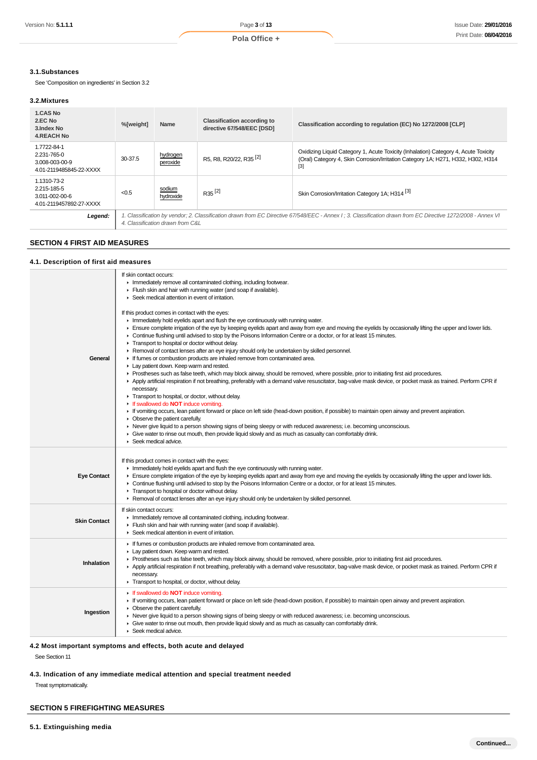### **3.1.Substances**

See 'Composition on ingredients' in Section 3.2

#### **3.2.Mixtures**

| 1.CAS No<br>2.EC No<br>3. Index No<br><b>4.REACH No</b>                 | %[weight]                                                                                                                                                                                       | Name                 | <b>Classification according to</b><br>directive 67/548/EEC [DSD]          | Classification according to regulation (EC) No 1272/2008 [CLP]                                                                                                                   |
|-------------------------------------------------------------------------|-------------------------------------------------------------------------------------------------------------------------------------------------------------------------------------------------|----------------------|---------------------------------------------------------------------------|----------------------------------------------------------------------------------------------------------------------------------------------------------------------------------|
| 1.7722-84-1<br>2.231-765-0<br>3.008-003-00-9<br>4.01-2119485845-22-XXXX | 30-37.5                                                                                                                                                                                         | hydrogen<br>peroxide | R5, R8, R20/22, R35 <sup>[2]</sup>                                        | Oxidizing Liquid Category 1, Acute Toxicity (Inhalation) Category 4, Acute Toxicity<br>(Oral) Category 4, Skin Corrosion/Irritation Category 1A; H271, H332, H302, H314<br>$[3]$ |
| 1.1310-73-2<br>2.215-185-5<br>3.011-002-00-6<br>4.01-2119457892-27-XXXX | < 0.5                                                                                                                                                                                           | sodium<br>hydroxide  | $R35^{[2]}$<br>Skin Corrosion/Irritation Category 1A; H314 <sup>[3]</sup> |                                                                                                                                                                                  |
| Legend:                                                                 | 1. Classification by vendor; 2. Classification drawn from EC Directive 67/548/EEC - Annex I; 3. Classification drawn from EC Directive 1272/2008 - Annex VI<br>4. Classification drawn from C&L |                      |                                                                           |                                                                                                                                                                                  |

## **SECTION 4 FIRST AID MEASURES**

## **4.1. Description of first aid measures**

| General             | If skin contact occurs:<br>Inmediately remove all contaminated clothing, including footwear.<br>Flush skin and hair with running water (and soap if available).<br>▶ Seek medical attention in event of irritation.<br>If this product comes in contact with the eyes:<br>Inmediately hold eyelids apart and flush the eye continuously with running water.<br>Ensure complete irrigation of the eye by keeping eyelids apart and away from eye and moving the eyelids by occasionally lifting the upper and lower lids.<br>• Continue flushing until advised to stop by the Poisons Information Centre or a doctor, or for at least 15 minutes.<br>Transport to hospital or doctor without delay.<br>► Removal of contact lenses after an eye injury should only be undertaken by skilled personnel.<br>If fumes or combustion products are inhaled remove from contaminated area.<br>Lay patient down. Keep warm and rested.<br>► Prostheses such as false teeth, which may block airway, should be removed, where possible, prior to initiating first aid procedures.<br>Apply artificial respiration if not breathing, preferably with a demand valve resuscitator, bag-valve mask device, or pocket mask as trained. Perform CPR if<br>necessary.<br>Transport to hospital, or doctor, without delay.<br>If swallowed do NOT induce vomiting.<br>If vomiting occurs, lean patient forward or place on left side (head-down position, if possible) to maintain open airway and prevent aspiration.<br>• Observe the patient carefully.<br>► Never give liquid to a person showing signs of being sleepy or with reduced awareness; i.e. becoming unconscious.<br>• Give water to rinse out mouth, then provide liquid slowly and as much as casualty can comfortably drink.<br>Seek medical advice. |
|---------------------|---------------------------------------------------------------------------------------------------------------------------------------------------------------------------------------------------------------------------------------------------------------------------------------------------------------------------------------------------------------------------------------------------------------------------------------------------------------------------------------------------------------------------------------------------------------------------------------------------------------------------------------------------------------------------------------------------------------------------------------------------------------------------------------------------------------------------------------------------------------------------------------------------------------------------------------------------------------------------------------------------------------------------------------------------------------------------------------------------------------------------------------------------------------------------------------------------------------------------------------------------------------------------------------------------------------------------------------------------------------------------------------------------------------------------------------------------------------------------------------------------------------------------------------------------------------------------------------------------------------------------------------------------------------------------------------------------------------------------------------------------------------------------------------------------------|
| <b>Eye Contact</b>  | If this product comes in contact with the eyes:<br>Inmediately hold eyelids apart and flush the eye continuously with running water.<br>Ensure complete irrigation of the eye by keeping eyelids apart and away from eye and moving the eyelids by occasionally lifting the upper and lower lids.<br>• Continue flushing until advised to stop by the Poisons Information Centre or a doctor, or for at least 15 minutes.<br>Transport to hospital or doctor without delay.<br>► Removal of contact lenses after an eye injury should only be undertaken by skilled personnel.                                                                                                                                                                                                                                                                                                                                                                                                                                                                                                                                                                                                                                                                                                                                                                                                                                                                                                                                                                                                                                                                                                                                                                                                                          |
| <b>Skin Contact</b> | If skin contact occurs:<br>Inmediately remove all contaminated clothing, including footwear.<br>Flush skin and hair with running water (and soap if available).<br>▶ Seek medical attention in event of irritation.                                                                                                                                                                                                                                                                                                                                                                                                                                                                                                                                                                                                                                                                                                                                                                                                                                                                                                                                                                                                                                                                                                                                                                                                                                                                                                                                                                                                                                                                                                                                                                                     |
| <b>Inhalation</b>   | If fumes or combustion products are inhaled remove from contaminated area.<br>Lay patient down. Keep warm and rested.<br>▶ Prostheses such as false teeth, which may block airway, should be removed, where possible, prior to initiating first aid procedures.<br>Apply artificial respiration if not breathing, preferably with a demand valve resuscitator, bag-valve mask device, or pocket mask as trained. Perform CPR if<br>necessary.<br>Transport to hospital, or doctor, without delay.                                                                                                                                                                                                                                                                                                                                                                                                                                                                                                                                                                                                                                                                                                                                                                                                                                                                                                                                                                                                                                                                                                                                                                                                                                                                                                       |
| Ingestion           | <b>If swallowed do NOT induce vomiting.</b><br>If vomiting occurs, lean patient forward or place on left side (head-down position, if possible) to maintain open airway and prevent aspiration.<br>$\triangleright$ Observe the patient carefully.<br>► Never give liquid to a person showing signs of being sleepy or with reduced awareness; i.e. becoming unconscious.<br>► Give water to rinse out mouth, then provide liquid slowly and as much as casualty can comfortably drink.<br>Seek medical advice.                                                                                                                                                                                                                                                                                                                                                                                                                                                                                                                                                                                                                                                                                                                                                                                                                                                                                                                                                                                                                                                                                                                                                                                                                                                                                         |

**4.2 Most important symptoms and effects, both acute and delayed** See Section 11

**4.3. Indication of any immediate medical attention and special treatment needed**

Treat symptomatically.

## **SECTION 5 FIREFIGHTING MEASURES**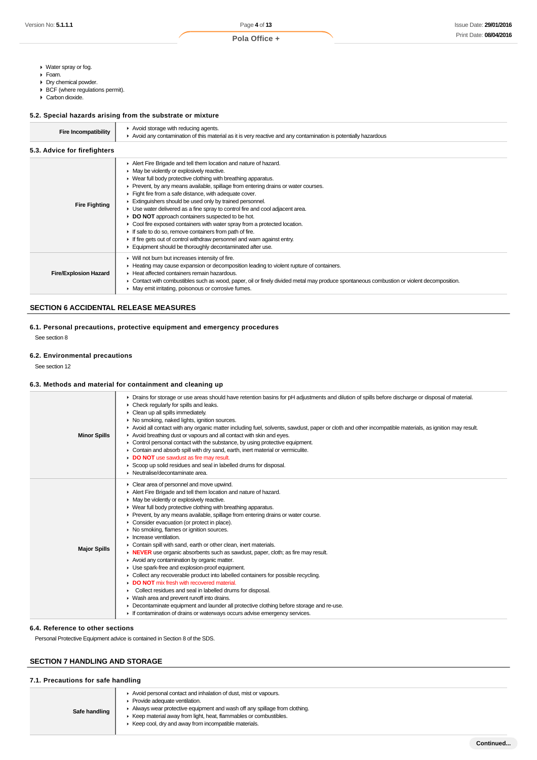- Water spray or fog.
- Foam.
- **Dry chemical powder.**
- BCF (where regulations permit).
- Carbon dioxide.

## **5.2. Special hazards arising from the substrate or mixture**

| <b>Fire Incompatibility</b>  | Avoid storage with reducing agents.<br>► Avoid any contamination of this material as it is very reactive and any contamination is potentially hazardous                                                                                                                                                                                                                                                                                                                                                                                                                                                                                                                                                                                                                                                    |
|------------------------------|------------------------------------------------------------------------------------------------------------------------------------------------------------------------------------------------------------------------------------------------------------------------------------------------------------------------------------------------------------------------------------------------------------------------------------------------------------------------------------------------------------------------------------------------------------------------------------------------------------------------------------------------------------------------------------------------------------------------------------------------------------------------------------------------------------|
| 5.3. Advice for firefighters |                                                                                                                                                                                                                                                                                                                                                                                                                                                                                                                                                                                                                                                                                                                                                                                                            |
| <b>Fire Fighting</b>         | Alert Fire Brigade and tell them location and nature of hazard.<br>• May be violently or explosively reactive.<br>▶ Wear full body protective clothing with breathing apparatus.<br>Prevent, by any means available, spillage from entering drains or water courses.<br>Fight fire from a safe distance, with adequate cover.<br>Extinguishers should be used only by trained personnel.<br>► Use water delivered as a fine spray to control fire and cool adjacent area.<br>DO NOT approach containers suspected to be hot.<br>• Cool fire exposed containers with water spray from a protected location.<br>If safe to do so, remove containers from path of fire.<br>If fire gets out of control withdraw personnel and warn against entry.<br>Equipment should be thoroughly decontaminated after use. |
| <b>Fire/Explosion Hazard</b> | • Will not burn but increases intensity of fire.<br>► Heating may cause expansion or decomposition leading to violent rupture of containers.<br>$\blacktriangleright$ Heat affected containers remain hazardous.<br>Contact with combustibles such as wood, paper, oil or finely divided metal may produce spontaneous combustion or violent decomposition.<br>Þ.<br>• May emit irritating, poisonous or corrosive fumes.                                                                                                                                                                                                                                                                                                                                                                                  |

## **SECTION 6 ACCIDENTAL RELEASE MEASURES**

## **6.1. Personal precautions, protective equipment and emergency procedures**

See section 8

### **6.2. Environmental precautions**

See section 12

### **6.3. Methods and material for containment and cleaning up**

|                     | ▶ Drains for storage or use areas should have retention basins for pH adjustments and dilution of spills before discharge or disposal of material.<br>$\triangleright$ Check regularly for spills and leaks.<br>• Clean up all spills immediately.<br>• No smoking, naked lights, ignition sources.                                                                                                                                                                                                                                                                                                                                                                                                                                                                                                                                                                                                                                                                                                                                                                                                                                        |
|---------------------|--------------------------------------------------------------------------------------------------------------------------------------------------------------------------------------------------------------------------------------------------------------------------------------------------------------------------------------------------------------------------------------------------------------------------------------------------------------------------------------------------------------------------------------------------------------------------------------------------------------------------------------------------------------------------------------------------------------------------------------------------------------------------------------------------------------------------------------------------------------------------------------------------------------------------------------------------------------------------------------------------------------------------------------------------------------------------------------------------------------------------------------------|
| <b>Minor Spills</b> | Avoid all contact with any organic matter including fuel, solvents, sawdust, paper or cloth and other incompatible materials, as ignition may result.<br>Avoid breathing dust or vapours and all contact with skin and eyes.<br>• Control personal contact with the substance, by using protective equipment.<br>• Contain and absorb spill with dry sand, earth, inert material or vermiculite.<br>DO NOT use sawdust as fire may result.<br>Scoop up solid residues and seal in labelled drums for disposal.<br>• Neutralise/decontaminate area.                                                                                                                                                                                                                                                                                                                                                                                                                                                                                                                                                                                         |
| <b>Major Spills</b> | Clear area of personnel and move upwind.<br>Alert Fire Brigade and tell them location and nature of hazard.<br>• May be violently or explosively reactive.<br>• Wear full body protective clothing with breathing apparatus.<br>• Prevent, by any means available, spillage from entering drains or water course.<br>Consider evacuation (or protect in place).<br>• No smoking, flames or ignition sources.<br>$\blacktriangleright$ Increase ventilation.<br>Contain spill with sand, earth or other clean, inert materials.<br>• NEVER use organic absorbents such as sawdust, paper, cloth; as fire may result.<br>Avoid any contamination by organic matter.<br>• Use spark-free and explosion-proof equipment.<br>► Collect any recoverable product into labelled containers for possible recycling.<br>DO NOT mix fresh with recovered material.<br>Collect residues and seal in labelled drums for disposal.<br>• Wash area and prevent runoff into drains.<br>Decontaminate equipment and launder all protective clothing before storage and re-use.<br>If contamination of drains or waterways occurs advise emergency services. |

## **6.4. Reference to other sections**

Personal Protective Equipment advice is contained in Section 8 of the SDS.

## **SECTION 7 HANDLING AND STORAGE**

### **7.1. Precautions for safe handling**

| Safe handling | Avoid personal contact and inhalation of dust, mist or vapours.<br>Provide adequate ventilation.<br>$\blacktriangleright$ Always wear protective equipment and wash off any spillage from clothing.<br>Keep material away from light, heat, flammables or combustibles.<br>▶ Keep cool, dry and away from incompatible materials. |
|---------------|-----------------------------------------------------------------------------------------------------------------------------------------------------------------------------------------------------------------------------------------------------------------------------------------------------------------------------------|
|---------------|-----------------------------------------------------------------------------------------------------------------------------------------------------------------------------------------------------------------------------------------------------------------------------------------------------------------------------------|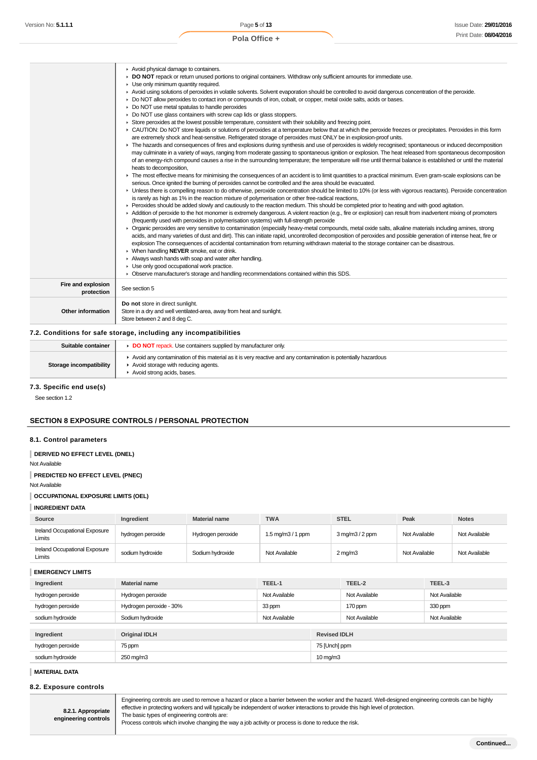|                                  | Avoid physical damage to containers.<br>▶ DO NOT repack or return unused portions to original containers. Withdraw only sufficient amounts for immediate use.<br>• Use only minimum quantity required.<br>Avoid using solutions of peroxides in volatile solvents. Solvent evaporation should be controlled to avoid dangerous concentration of the peroxide.<br>▶ Do NOT allow peroxides to contact iron or compounds of iron, cobalt, or copper, metal oxide salts, acids or bases.<br>• Do NOT use metal spatulas to handle peroxides<br>• Do NOT use glass containers with screw cap lids or glass stoppers.<br>► Store peroxides at the lowest possible temperature, consistent with their solubility and freezing point.<br>► CAUTION: Do NOT store liquids or solutions of peroxides at a temperature below that at which the peroxide freezes or precipitates. Peroxides in this form<br>are extremely shock and heat-sensitive. Refrigerated storage of peroxides must ONLY be in explosion-proof units.<br>• The hazards and consequences of fires and explosions during synthesis and use of peroxides is widely recognised; spontaneous or induced decomposition<br>may culminate in a variety of ways, ranging from moderate gassing to spontaneous ignition or explosion. The heat released from spontaneous decomposition<br>of an energy-rich compound causes a rise in the surrounding temperature; the temperature will rise until thermal balance is established or until the material<br>heats to decomposition.<br>▶ The most effective means for minimising the consequences of an accident is to limit quantities to a practical minimum. Even gram-scale explosions can be<br>serious. Once ignited the burning of peroxides cannot be controlled and the area should be evacuated.<br>• Unless there is compelling reason to do otherwise, peroxide concentration should be limited to 10% (or less with vigorous reactants). Peroxide concentration<br>is rarely as high as 1% in the reaction mixture of polymerisation or other free-radical reactions,<br>▶ Peroxides should be added slowly and cautiously to the reaction medium. This should be completed prior to heating and with good agitation.<br>Addition of peroxide to the hot monomer is extremely dangerous. A violent reaction (e.g., fire or explosion) can result from inadvertent mixing of promoters<br>(frequently used with peroxides in polymerisation systems) with full-strength peroxide<br>▶ Organic peroxides are very sensitive to contamination (especially heavy-metal compounds, metal oxide salts, alkaline materials including amines, strong<br>acids, and many varieties of dust and dirt). This can initiate rapid, uncontrolled decomposition of peroxides and possible generation of intense heat, fire or<br>explosion The consequences of accidental contamination from returning withdrawn material to the storage container can be disastrous.<br>▶ When handling NEVER smoke, eat or drink.<br>Always wash hands with soap and water after handling.<br>• Use only good occupational work practice.<br>• Observe manufacturer's storage and handling recommendations contained within this SDS. |
|----------------------------------|------------------------------------------------------------------------------------------------------------------------------------------------------------------------------------------------------------------------------------------------------------------------------------------------------------------------------------------------------------------------------------------------------------------------------------------------------------------------------------------------------------------------------------------------------------------------------------------------------------------------------------------------------------------------------------------------------------------------------------------------------------------------------------------------------------------------------------------------------------------------------------------------------------------------------------------------------------------------------------------------------------------------------------------------------------------------------------------------------------------------------------------------------------------------------------------------------------------------------------------------------------------------------------------------------------------------------------------------------------------------------------------------------------------------------------------------------------------------------------------------------------------------------------------------------------------------------------------------------------------------------------------------------------------------------------------------------------------------------------------------------------------------------------------------------------------------------------------------------------------------------------------------------------------------------------------------------------------------------------------------------------------------------------------------------------------------------------------------------------------------------------------------------------------------------------------------------------------------------------------------------------------------------------------------------------------------------------------------------------------------------------------------------------------------------------------------------------------------------------------------------------------------------------------------------------------------------------------------------------------------------------------------------------------------------------------------------------------------------------------------------------------------------------------------------------------------------------------------------------------------------------------------------------------------------------------------------------------------------------------------------------------------------------------------------------------------------------------------------------------------------------------------------------------------------------------------------------------------|
| Fire and explosion<br>protection | See section 5                                                                                                                                                                                                                                                                                                                                                                                                                                                                                                                                                                                                                                                                                                                                                                                                                                                                                                                                                                                                                                                                                                                                                                                                                                                                                                                                                                                                                                                                                                                                                                                                                                                                                                                                                                                                                                                                                                                                                                                                                                                                                                                                                                                                                                                                                                                                                                                                                                                                                                                                                                                                                                                                                                                                                                                                                                                                                                                                                                                                                                                                                                                                                                                                          |
| Other information                | Do not store in direct sunlight.<br>Store in a dry and well ventilated-area, away from heat and sunlight.<br>Store between 2 and 8 deg C.                                                                                                                                                                                                                                                                                                                                                                                                                                                                                                                                                                                                                                                                                                                                                                                                                                                                                                                                                                                                                                                                                                                                                                                                                                                                                                                                                                                                                                                                                                                                                                                                                                                                                                                                                                                                                                                                                                                                                                                                                                                                                                                                                                                                                                                                                                                                                                                                                                                                                                                                                                                                                                                                                                                                                                                                                                                                                                                                                                                                                                                                              |

## **7.2. Conditions for safe storage, including any incompatibilities**

| Suitable container      | <b>DO NOT</b> repack. Use containers supplied by manufacturer only                                                                                                                  |
|-------------------------|-------------------------------------------------------------------------------------------------------------------------------------------------------------------------------------|
| Storage incompatibility | Avoid any contamination of this material as it is very reactive and any contamination is potentially hazardous<br>Avoid storage with reducing agents.<br>Avoid strong acids, bases. |
|                         |                                                                                                                                                                                     |

## **7.3. Specific end use(s)**

See section 1.2

## **SECTION 8 EXPOSURE CONTROLS / PERSONAL PROTECTION**

### **8.1. Control parameters**

### **DERIVED NO EFFECT LEVEL (DNEL)**

Not Available

## **PREDICTED NO EFFECT LEVEL (PNEC)**

Not Available

## **OCCUPATIONAL EXPOSURE LIMITS (OEL)**

### **INGREDIENT DATA**

| Source                                         | Ingredient        | <b>Material name</b> | <b>TWA</b>         | <b>STEL</b>                              | Peak          | <b>Notes</b>  |
|------------------------------------------------|-------------------|----------------------|--------------------|------------------------------------------|---------------|---------------|
| <b>Ireland Occupational Exposure</b><br>Limits | hydrogen peroxide | Hydrogen peroxide    | 1.5 mg/m $3/1$ ppm | $3 \,\mathrm{mq/m}$ $3/2 \,\mathrm{ppm}$ | Not Available | Not Available |
| Ireland Occupational Exposure<br>Limits        | sodium hvdroxide  | Sodium hydroxide     | Not Available      | $2 \,\mathrm{mq/m}$ 3                    | Not Available | Not Available |

## **EMERGENCY LIMITS**

| Ingredient        | <b>Material name</b>    | TEEL-1        |                      | TEEL-2        | TEEL-3        |
|-------------------|-------------------------|---------------|----------------------|---------------|---------------|
| hydrogen peroxide | Hydrogen peroxide       | Not Available |                      | Not Available | Not Available |
| hydrogen peroxide | Hydrogen peroxide - 30% | 33 ppm        |                      | 170 ppm       | 330 ppm       |
| sodium hydroxide  | Sodium hydroxide        | Not Available |                      | Not Available | Not Available |
|                   |                         |               |                      |               |               |
| Ingredient        | <b>Original IDLH</b>    |               | <b>Revised IDLH</b>  |               |               |
| hydrogen peroxide | 75 ppm                  |               | 75 [Unch] ppm        |               |               |
| sodium hydroxide  | 250 mg/m3               |               | $10 \,\mathrm{mg/m}$ |               |               |

## **MATERIAL DATA**

## **8.2. Exposure controls**

Engineering controls are used to remove a hazard or place a barrier between the worker and the hazard. Well-designed engineering controls can be highly effective in protecting workers and will typically be independent of worker interactions to provide this high level of protection. The basic types of engineering controls are:

**8.2.1. Appropriate engineering controls**

Process controls which involve changing the way a job activity or process is done to reduce the risk.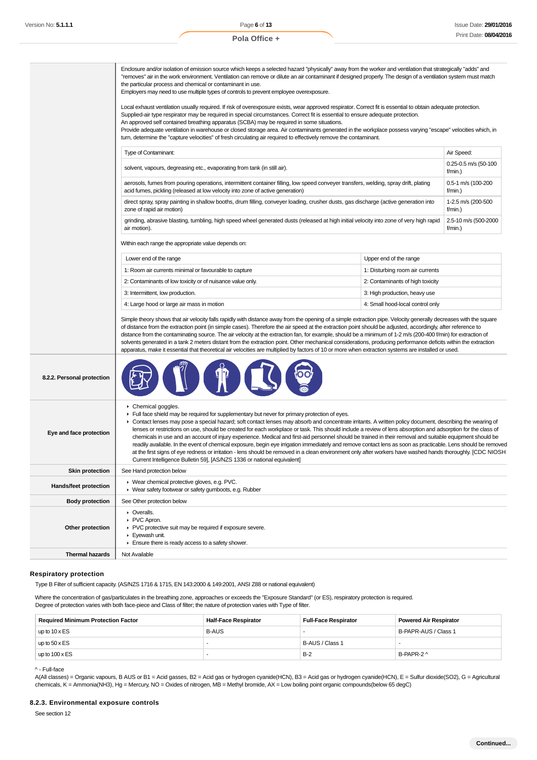|                            | Enclosure and/or isolation of emission source which keeps a selected hazard "physically" away from the worker and ventilation that strategically "adds" and<br>"removes" air in the work environment. Ventilation can remove or dilute an air contaminant if designed properly. The design of a ventilation system must match<br>the particular process and chemical or contaminant in use.<br>Employers may need to use multiple types of controls to prevent employee overexposure.                                                                                                                                                                                                                                                                                                                                                                                                                                                                                                                                     |                                  |                                    |
|----------------------------|---------------------------------------------------------------------------------------------------------------------------------------------------------------------------------------------------------------------------------------------------------------------------------------------------------------------------------------------------------------------------------------------------------------------------------------------------------------------------------------------------------------------------------------------------------------------------------------------------------------------------------------------------------------------------------------------------------------------------------------------------------------------------------------------------------------------------------------------------------------------------------------------------------------------------------------------------------------------------------------------------------------------------|----------------------------------|------------------------------------|
|                            | Local exhaust ventilation usually required. If risk of overexposure exists, wear approved respirator. Correct fit is essential to obtain adequate protection.<br>Supplied-air type respirator may be required in special circumstances. Correct fit is essential to ensure adequate protection.<br>An approved self contained breathing apparatus (SCBA) may be required in some situations.<br>Provide adequate ventilation in warehouse or closed storage area. Air contaminants generated in the workplace possess varying "escape" velocities which, in<br>turn, determine the "capture velocities" of fresh circulating air required to effectively remove the contaminant.                                                                                                                                                                                                                                                                                                                                          |                                  |                                    |
|                            | Type of Contaminant:                                                                                                                                                                                                                                                                                                                                                                                                                                                                                                                                                                                                                                                                                                                                                                                                                                                                                                                                                                                                      |                                  | Air Speed:                         |
|                            | solvent, vapours, degreasing etc., evaporating from tank (in still air).                                                                                                                                                                                                                                                                                                                                                                                                                                                                                                                                                                                                                                                                                                                                                                                                                                                                                                                                                  |                                  | 0.25-0.5 m/s (50-100<br>f/min.)    |
|                            | aerosols, fumes from pouring operations, intermittent container filling, low speed conveyer transfers, welding, spray drift, plating<br>acid fumes, pickling (released at low velocity into zone of active generation)                                                                                                                                                                                                                                                                                                                                                                                                                                                                                                                                                                                                                                                                                                                                                                                                    |                                  | 0.5-1 m/s (100-200<br>f/min.)      |
|                            | direct spray, spray painting in shallow booths, drum filling, conveyer loading, crusher dusts, gas discharge (active generation into<br>zone of rapid air motion)                                                                                                                                                                                                                                                                                                                                                                                                                                                                                                                                                                                                                                                                                                                                                                                                                                                         |                                  | 1-2.5 m/s (200-500<br>f/min.)      |
|                            | grinding, abrasive blasting, tumbling, high speed wheel generated dusts (released at high initial velocity into zone of very high rapid<br>air motion).                                                                                                                                                                                                                                                                                                                                                                                                                                                                                                                                                                                                                                                                                                                                                                                                                                                                   |                                  | 2.5-10 m/s (500-2000<br>$f/min.$ ) |
|                            | Within each range the appropriate value depends on:                                                                                                                                                                                                                                                                                                                                                                                                                                                                                                                                                                                                                                                                                                                                                                                                                                                                                                                                                                       |                                  |                                    |
|                            | Lower end of the range                                                                                                                                                                                                                                                                                                                                                                                                                                                                                                                                                                                                                                                                                                                                                                                                                                                                                                                                                                                                    | Upper end of the range           |                                    |
|                            | 1: Room air currents minimal or favourable to capture                                                                                                                                                                                                                                                                                                                                                                                                                                                                                                                                                                                                                                                                                                                                                                                                                                                                                                                                                                     | 1: Disturbing room air currents  |                                    |
|                            | 2: Contaminants of low toxicity or of nuisance value only.                                                                                                                                                                                                                                                                                                                                                                                                                                                                                                                                                                                                                                                                                                                                                                                                                                                                                                                                                                | 2: Contaminants of high toxicity |                                    |
|                            | 3: Intermittent, low production.                                                                                                                                                                                                                                                                                                                                                                                                                                                                                                                                                                                                                                                                                                                                                                                                                                                                                                                                                                                          | 3: High production, heavy use    |                                    |
|                            | 4: Large hood or large air mass in motion                                                                                                                                                                                                                                                                                                                                                                                                                                                                                                                                                                                                                                                                                                                                                                                                                                                                                                                                                                                 | 4: Small hood-local control only |                                    |
|                            | Simple theory shows that air velocity falls rapidly with distance away from the opening of a simple extraction pipe. Velocity generally decreases with the square<br>of distance from the extraction point (in simple cases). Therefore the air speed at the extraction point should be adjusted, accordingly, after reference to<br>distance from the contaminating source. The air velocity at the extraction fan, for example, should be a minimum of 1-2 m/s (200-400 f/min) for extraction of<br>solvents generated in a tank 2 meters distant from the extraction point. Other mechanical considerations, producing performance deficits within the extraction<br>apparatus, make it essential that theoretical air velocities are multiplied by factors of 10 or more when extraction systems are installed or used.                                                                                                                                                                                               |                                  |                                    |
| 8.2.2. Personal protection |                                                                                                                                                                                                                                                                                                                                                                                                                                                                                                                                                                                                                                                                                                                                                                                                                                                                                                                                                                                                                           |                                  |                                    |
| Eye and face protection    | ▶ Chemical goggles.<br>Full face shield may be required for supplementary but never for primary protection of eyes.<br>► Contact lenses may pose a special hazard; soft contact lenses may absorb and concentrate irritants. A written policy document, describing the wearing of<br>lenses or restrictions on use, should be created for each workplace or task. This should include a review of lens absorption and adsorption for the class of<br>chemicals in use and an account of injury experience. Medical and first-aid personnel should be trained in their removal and suitable equipment should be<br>readily available. In the event of chemical exposure, begin eye irrigation immediately and remove contact lens as soon as practicable. Lens should be removed<br>at the first signs of eye redness or irritation - lens should be removed in a clean environment only after workers have washed hands thoroughly. [CDC NIOSH<br>Current Intelligence Bulletin 59], [AS/NZS 1336 or national equivalent] |                                  |                                    |
| <b>Skin protection</b>     | See Hand protection below                                                                                                                                                                                                                                                                                                                                                                                                                                                                                                                                                                                                                                                                                                                                                                                                                                                                                                                                                                                                 |                                  |                                    |
| Hands/feet protection      | ▶ Wear chemical protective gloves, e.g. PVC.<br>▶ Wear safety footwear or safety gumboots, e.g. Rubber                                                                                                                                                                                                                                                                                                                                                                                                                                                                                                                                                                                                                                                                                                                                                                                                                                                                                                                    |                                  |                                    |
| <b>Body protection</b>     | See Other protection below                                                                                                                                                                                                                                                                                                                                                                                                                                                                                                                                                                                                                                                                                                                                                                                                                                                                                                                                                                                                |                                  |                                    |
| Other protection           | • Overalls.<br>PVC Apron.<br>▶ PVC protective suit may be required if exposure severe.<br>Eyewash unit.<br>Ensure there is ready access to a safety shower.                                                                                                                                                                                                                                                                                                                                                                                                                                                                                                                                                                                                                                                                                                                                                                                                                                                               |                                  |                                    |
| <b>Thermal hazards</b>     | Not Available                                                                                                                                                                                                                                                                                                                                                                                                                                                                                                                                                                                                                                                                                                                                                                                                                                                                                                                                                                                                             |                                  |                                    |
|                            |                                                                                                                                                                                                                                                                                                                                                                                                                                                                                                                                                                                                                                                                                                                                                                                                                                                                                                                                                                                                                           |                                  |                                    |

#### **Respiratory protection**

Type B Filter of sufficient capacity. (AS/NZS 1716 & 1715, EN 143:2000 & 149:2001, ANSI Z88 or national equivalent)

Where the concentration of gas/particulates in the breathing zone, approaches or exceeds the "Exposure Standard" (or ES), respiratory protection is required.

Degree of protection varies with both face-piece and Class of filter; the nature of protection varies with Type of filter.

| <b>Required Minimum Protection Factor</b> | <b>Half-Face Respirator</b> | <b>Full-Face Respirator</b> | <b>Powered Air Respirator</b> |
|-------------------------------------------|-----------------------------|-----------------------------|-------------------------------|
| up to $10 \times ES$                      | <b>B-AUS</b>                |                             | B-PAPR-AUS / Class 1          |
| up to $50 \times ES$                      |                             | B-AUS / Class 1             |                               |
| up to $100 \times ES$                     |                             | $B-2$                       | B-PAPR-2 ^                    |

^ - Full-face

A(All classes) = Organic vapours, B AUS or B1 = Acid gasses, B2 = Acid gas or hydrogen cyanide(HCN), B3 = Acid gas or hydrogen cyanide(HCN), E = Sulfur dioxide(SO2), G = Agricultural chemicals, K = Ammonia(NH3), Hg = Mercury, NO = Oxides of nitrogen, MB = Methyl bromide, AX = Low boiling point organic compounds(below 65 degC)

## **8.2.3. Environmental exposure controls**

See section 12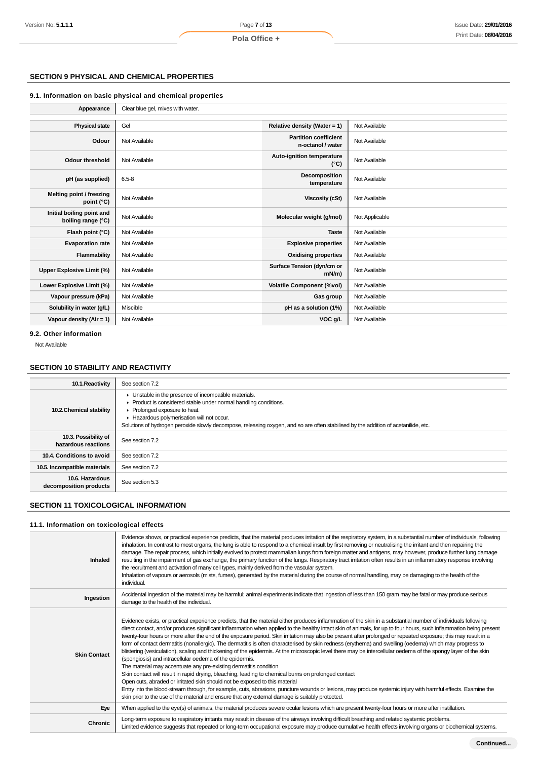## **SECTION 9 PHYSICAL AND CHEMICAL PROPERTIES**

## **9.1. Information on basic physical and chemical properties**

| Appearance                                      | Clear blue gel, mixes with water. |                                                   |                |
|-------------------------------------------------|-----------------------------------|---------------------------------------------------|----------------|
|                                                 |                                   |                                                   |                |
| <b>Physical state</b>                           | Gel                               | Relative density (Water = 1)                      | Not Available  |
| Odour                                           | Not Available                     | <b>Partition coefficient</b><br>n-octanol / water | Not Available  |
| <b>Odour threshold</b>                          | Not Available                     | Auto-ignition temperature<br>$(^{\circ}C)$        | Not Available  |
| pH (as supplied)                                | $6.5 - 8$                         | Decomposition<br>temperature                      | Not Available  |
| Melting point / freezing<br>point (°C)          | Not Available                     | Viscosity (cSt)                                   | Not Available  |
| Initial boiling point and<br>boiling range (°C) | Not Available                     | Molecular weight (g/mol)                          | Not Applicable |
| Flash point (°C)                                | Not Available                     | <b>Taste</b>                                      | Not Available  |
| <b>Evaporation rate</b>                         | Not Available                     | <b>Explosive properties</b>                       | Not Available  |
| Flammability                                    | Not Available                     | <b>Oxidising properties</b>                       | Not Available  |
| <b>Upper Explosive Limit (%)</b>                | Not Available                     | Surface Tension (dyn/cm or<br>$mN/m$ )            | Not Available  |
| Lower Explosive Limit (%)                       | Not Available                     | <b>Volatile Component (%vol)</b>                  | Not Available  |
| Vapour pressure (kPa)                           | Not Available                     | Gas group                                         | Not Available  |
| Solubility in water (g/L)                       | Miscible                          | pH as a solution (1%)                             | Not Available  |
| Vapour density (Air = $1$ )                     | Not Available                     | VOC g/L                                           | Not Available  |

**9.2. Other information**

Not Available

## **SECTION 10 STABILITY AND REACTIVITY**

| 10.1. Reactivity                            | See section 7.2                                                                                                                                                                                                                                                                                                                             |
|---------------------------------------------|---------------------------------------------------------------------------------------------------------------------------------------------------------------------------------------------------------------------------------------------------------------------------------------------------------------------------------------------|
| 10.2. Chemical stability                    | Unstable in the presence of incompatible materials.<br>▶ Product is considered stable under normal handling conditions.<br>▶ Prolonged exposure to heat.<br>Hazardous polymerisation will not occur.<br>Solutions of hydrogen peroxide slowly decompose, releasing oxygen, and so are often stabilised by the addition of acetanilide, etc. |
| 10.3. Possibility of<br>hazardous reactions | See section 7.2                                                                                                                                                                                                                                                                                                                             |
| 10.4. Conditions to avoid                   | See section 7.2                                                                                                                                                                                                                                                                                                                             |
| 10.5. Incompatible materials                | See section 7.2                                                                                                                                                                                                                                                                                                                             |
| 10.6. Hazardous<br>decomposition products   | See section 5.3                                                                                                                                                                                                                                                                                                                             |

## **SECTION 11 TOXICOLOGICAL INFORMATION**

## **11.1. Information on toxicological effects**

| Inhaled             | Evidence shows, or practical experience predicts, that the material produces irritation of the respiratory system, in a substantial number of individuals, following<br>inhalation. In contrast to most organs, the lung is able to respond to a chemical insult by first removing or neutralising the irritant and then repairing the<br>damage. The repair process, which initially evolved to protect mammalian lungs from foreign matter and antigens, may however, produce further lung damage<br>resulting in the impairment of gas exchange, the primary function of the lungs. Respiratory tract irritation often results in an inflammatory response involving<br>the recruitment and activation of many cell types, mainly derived from the vascular system.<br>Inhalation of vapours or aerosols (mists, fumes), generated by the material during the course of normal handling, may be damaging to the health of the<br>individual.                                                                                                                                                                                                                                                                                                                                                                                                                                                                              |
|---------------------|------------------------------------------------------------------------------------------------------------------------------------------------------------------------------------------------------------------------------------------------------------------------------------------------------------------------------------------------------------------------------------------------------------------------------------------------------------------------------------------------------------------------------------------------------------------------------------------------------------------------------------------------------------------------------------------------------------------------------------------------------------------------------------------------------------------------------------------------------------------------------------------------------------------------------------------------------------------------------------------------------------------------------------------------------------------------------------------------------------------------------------------------------------------------------------------------------------------------------------------------------------------------------------------------------------------------------------------------------------------------------------------------------------------------------|
| Ingestion           | Accidental ingestion of the material may be harmful; animal experiments indicate that ingestion of less than 150 gram may be fatal or may produce serious<br>damage to the health of the individual.                                                                                                                                                                                                                                                                                                                                                                                                                                                                                                                                                                                                                                                                                                                                                                                                                                                                                                                                                                                                                                                                                                                                                                                                                         |
| <b>Skin Contact</b> | Evidence exists, or practical experience predicts, that the material either produces inflammation of the skin in a substantial number of individuals following<br>direct contact, and/or produces significant inflammation when applied to the healthy intact skin of animals, for up to four hours, such inflammation being present<br>twenty-four hours or more after the end of the exposure period. Skin irritation may also be present after prolonged or repeated exposure; this may result in a<br>form of contact dermatitis (nonallergic). The dermatitis is often characterised by skin redness (erythema) and swelling (oedema) which may progress to<br>blistering (vesiculation), scaling and thickening of the epidermis. At the microscopic level there may be intercellular oedema of the spongy layer of the skin<br>(spongiosis) and intracellular oedema of the epidermis.<br>The material may accentuate any pre-existing dermatitis condition<br>Skin contact will result in rapid drying, bleaching, leading to chemical burns on prolonged contact<br>Open cuts, abraded or irritated skin should not be exposed to this material<br>Entry into the blood-stream through, for example, cuts, abrasions, puncture wounds or lesions, may produce systemic injury with harmful effects. Examine the<br>skin prior to the use of the material and ensure that any external damage is suitably protected. |
| Eye                 | When applied to the eye(s) of animals, the material produces severe ocular lesions which are present twenty-four hours or more after instillation.                                                                                                                                                                                                                                                                                                                                                                                                                                                                                                                                                                                                                                                                                                                                                                                                                                                                                                                                                                                                                                                                                                                                                                                                                                                                           |
| Chronic             | Long-term exposure to respiratory irritants may result in disease of the airways involving difficult breathing and related systemic problems.<br>Limited evidence suggests that repeated or long-term occupational exposure may produce cumulative health effects involving organs or biochemical systems.                                                                                                                                                                                                                                                                                                                                                                                                                                                                                                                                                                                                                                                                                                                                                                                                                                                                                                                                                                                                                                                                                                                   |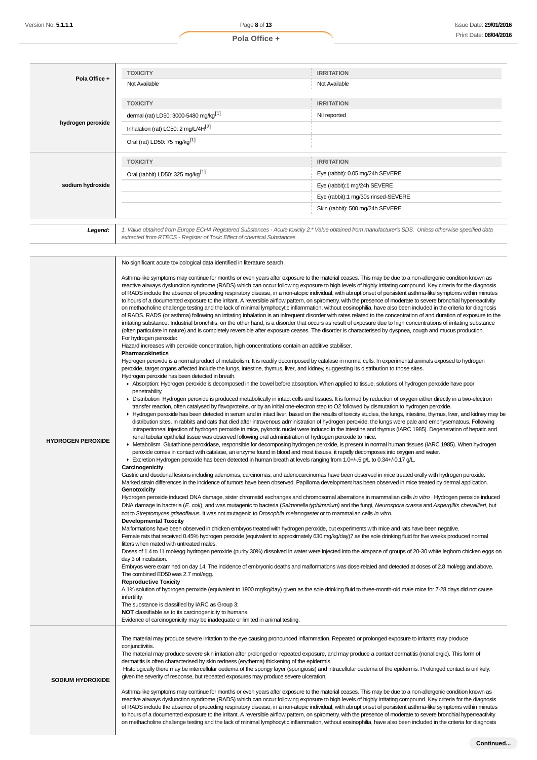|                          | <b>TOXICITY</b>                                                                                                                                                                                                                                                                                                                                                                                                                                                                                                                                                                                                                                                                                                                                                                                                                                                                                                                                                                                                                                                                                                                                                                                                                                                                                                                                                                                                                                                                                                                                                                                                                                                                                                                                                                                                                                                                                                                                                                                                                                                                                                                                                                                                                                                                                                                                                                                                                                                                                                                                                                                                                                                                                                                                                                                                                                                                                                                                                                                                                                                                                                                                                                                                                                                                                                                                                                                                                                                                                                                                                                                                                                                                                                                                                                                                                                                                                                                                                                                                                                                                                                                                                                                                                                                                                                                                                                                                                                                                                                                                                                                                                                                                                                                                                                                                                                                                                                                                                                                                                                                                                                                                                                                                                                                                                                                                                                                                                               | <b>IRRITATION</b>                                                                                                                                     |  |
|--------------------------|-----------------------------------------------------------------------------------------------------------------------------------------------------------------------------------------------------------------------------------------------------------------------------------------------------------------------------------------------------------------------------------------------------------------------------------------------------------------------------------------------------------------------------------------------------------------------------------------------------------------------------------------------------------------------------------------------------------------------------------------------------------------------------------------------------------------------------------------------------------------------------------------------------------------------------------------------------------------------------------------------------------------------------------------------------------------------------------------------------------------------------------------------------------------------------------------------------------------------------------------------------------------------------------------------------------------------------------------------------------------------------------------------------------------------------------------------------------------------------------------------------------------------------------------------------------------------------------------------------------------------------------------------------------------------------------------------------------------------------------------------------------------------------------------------------------------------------------------------------------------------------------------------------------------------------------------------------------------------------------------------------------------------------------------------------------------------------------------------------------------------------------------------------------------------------------------------------------------------------------------------------------------------------------------------------------------------------------------------------------------------------------------------------------------------------------------------------------------------------------------------------------------------------------------------------------------------------------------------------------------------------------------------------------------------------------------------------------------------------------------------------------------------------------------------------------------------------------------------------------------------------------------------------------------------------------------------------------------------------------------------------------------------------------------------------------------------------------------------------------------------------------------------------------------------------------------------------------------------------------------------------------------------------------------------------------------------------------------------------------------------------------------------------------------------------------------------------------------------------------------------------------------------------------------------------------------------------------------------------------------------------------------------------------------------------------------------------------------------------------------------------------------------------------------------------------------------------------------------------------------------------------------------------------------------------------------------------------------------------------------------------------------------------------------------------------------------------------------------------------------------------------------------------------------------------------------------------------------------------------------------------------------------------------------------------------------------------------------------------------------------------------------------------------------------------------------------------------------------------------------------------------------------------------------------------------------------------------------------------------------------------------------------------------------------------------------------------------------------------------------------------------------------------------------------------------------------------------------------------------------------------------------------------------------------------------------------------------------------------------------------------------------------------------------------------------------------------------------------------------------------------------------------------------------------------------------------------------------------------------------------------------------------------------------------------------------------------------------------------------------------------------------------------------------------------------------------|-------------------------------------------------------------------------------------------------------------------------------------------------------|--|
| Pola Office +            | Not Available                                                                                                                                                                                                                                                                                                                                                                                                                                                                                                                                                                                                                                                                                                                                                                                                                                                                                                                                                                                                                                                                                                                                                                                                                                                                                                                                                                                                                                                                                                                                                                                                                                                                                                                                                                                                                                                                                                                                                                                                                                                                                                                                                                                                                                                                                                                                                                                                                                                                                                                                                                                                                                                                                                                                                                                                                                                                                                                                                                                                                                                                                                                                                                                                                                                                                                                                                                                                                                                                                                                                                                                                                                                                                                                                                                                                                                                                                                                                                                                                                                                                                                                                                                                                                                                                                                                                                                                                                                                                                                                                                                                                                                                                                                                                                                                                                                                                                                                                                                                                                                                                                                                                                                                                                                                                                                                                                                                                                                 | Not Available                                                                                                                                         |  |
|                          | <b>TOXICITY</b>                                                                                                                                                                                                                                                                                                                                                                                                                                                                                                                                                                                                                                                                                                                                                                                                                                                                                                                                                                                                                                                                                                                                                                                                                                                                                                                                                                                                                                                                                                                                                                                                                                                                                                                                                                                                                                                                                                                                                                                                                                                                                                                                                                                                                                                                                                                                                                                                                                                                                                                                                                                                                                                                                                                                                                                                                                                                                                                                                                                                                                                                                                                                                                                                                                                                                                                                                                                                                                                                                                                                                                                                                                                                                                                                                                                                                                                                                                                                                                                                                                                                                                                                                                                                                                                                                                                                                                                                                                                                                                                                                                                                                                                                                                                                                                                                                                                                                                                                                                                                                                                                                                                                                                                                                                                                                                                                                                                                                               | <b>IRRITATION</b>                                                                                                                                     |  |
|                          | dermal (rat) LD50: 3000-5480 mg/kg <sup>[1]</sup>                                                                                                                                                                                                                                                                                                                                                                                                                                                                                                                                                                                                                                                                                                                                                                                                                                                                                                                                                                                                                                                                                                                                                                                                                                                                                                                                                                                                                                                                                                                                                                                                                                                                                                                                                                                                                                                                                                                                                                                                                                                                                                                                                                                                                                                                                                                                                                                                                                                                                                                                                                                                                                                                                                                                                                                                                                                                                                                                                                                                                                                                                                                                                                                                                                                                                                                                                                                                                                                                                                                                                                                                                                                                                                                                                                                                                                                                                                                                                                                                                                                                                                                                                                                                                                                                                                                                                                                                                                                                                                                                                                                                                                                                                                                                                                                                                                                                                                                                                                                                                                                                                                                                                                                                                                                                                                                                                                                             | Nil reported                                                                                                                                          |  |
| hydrogen peroxide        | Inhalation (rat) LC50: 2 mg/L/4H <sup>[2]</sup>                                                                                                                                                                                                                                                                                                                                                                                                                                                                                                                                                                                                                                                                                                                                                                                                                                                                                                                                                                                                                                                                                                                                                                                                                                                                                                                                                                                                                                                                                                                                                                                                                                                                                                                                                                                                                                                                                                                                                                                                                                                                                                                                                                                                                                                                                                                                                                                                                                                                                                                                                                                                                                                                                                                                                                                                                                                                                                                                                                                                                                                                                                                                                                                                                                                                                                                                                                                                                                                                                                                                                                                                                                                                                                                                                                                                                                                                                                                                                                                                                                                                                                                                                                                                                                                                                                                                                                                                                                                                                                                                                                                                                                                                                                                                                                                                                                                                                                                                                                                                                                                                                                                                                                                                                                                                                                                                                                                               |                                                                                                                                                       |  |
|                          | Oral (rat) LD50: 75 mg/kg <sup>[1]</sup>                                                                                                                                                                                                                                                                                                                                                                                                                                                                                                                                                                                                                                                                                                                                                                                                                                                                                                                                                                                                                                                                                                                                                                                                                                                                                                                                                                                                                                                                                                                                                                                                                                                                                                                                                                                                                                                                                                                                                                                                                                                                                                                                                                                                                                                                                                                                                                                                                                                                                                                                                                                                                                                                                                                                                                                                                                                                                                                                                                                                                                                                                                                                                                                                                                                                                                                                                                                                                                                                                                                                                                                                                                                                                                                                                                                                                                                                                                                                                                                                                                                                                                                                                                                                                                                                                                                                                                                                                                                                                                                                                                                                                                                                                                                                                                                                                                                                                                                                                                                                                                                                                                                                                                                                                                                                                                                                                                                                      |                                                                                                                                                       |  |
|                          | <b>TOXICITY</b>                                                                                                                                                                                                                                                                                                                                                                                                                                                                                                                                                                                                                                                                                                                                                                                                                                                                                                                                                                                                                                                                                                                                                                                                                                                                                                                                                                                                                                                                                                                                                                                                                                                                                                                                                                                                                                                                                                                                                                                                                                                                                                                                                                                                                                                                                                                                                                                                                                                                                                                                                                                                                                                                                                                                                                                                                                                                                                                                                                                                                                                                                                                                                                                                                                                                                                                                                                                                                                                                                                                                                                                                                                                                                                                                                                                                                                                                                                                                                                                                                                                                                                                                                                                                                                                                                                                                                                                                                                                                                                                                                                                                                                                                                                                                                                                                                                                                                                                                                                                                                                                                                                                                                                                                                                                                                                                                                                                                                               | <b>IRRITATION</b>                                                                                                                                     |  |
|                          | Oral (rabbit) LD50: 325 mg/kg <sup>[1]</sup>                                                                                                                                                                                                                                                                                                                                                                                                                                                                                                                                                                                                                                                                                                                                                                                                                                                                                                                                                                                                                                                                                                                                                                                                                                                                                                                                                                                                                                                                                                                                                                                                                                                                                                                                                                                                                                                                                                                                                                                                                                                                                                                                                                                                                                                                                                                                                                                                                                                                                                                                                                                                                                                                                                                                                                                                                                                                                                                                                                                                                                                                                                                                                                                                                                                                                                                                                                                                                                                                                                                                                                                                                                                                                                                                                                                                                                                                                                                                                                                                                                                                                                                                                                                                                                                                                                                                                                                                                                                                                                                                                                                                                                                                                                                                                                                                                                                                                                                                                                                                                                                                                                                                                                                                                                                                                                                                                                                                  | Eye (rabbit): 0.05 mg/24h SEVERE                                                                                                                      |  |
| sodium hydroxide         |                                                                                                                                                                                                                                                                                                                                                                                                                                                                                                                                                                                                                                                                                                                                                                                                                                                                                                                                                                                                                                                                                                                                                                                                                                                                                                                                                                                                                                                                                                                                                                                                                                                                                                                                                                                                                                                                                                                                                                                                                                                                                                                                                                                                                                                                                                                                                                                                                                                                                                                                                                                                                                                                                                                                                                                                                                                                                                                                                                                                                                                                                                                                                                                                                                                                                                                                                                                                                                                                                                                                                                                                                                                                                                                                                                                                                                                                                                                                                                                                                                                                                                                                                                                                                                                                                                                                                                                                                                                                                                                                                                                                                                                                                                                                                                                                                                                                                                                                                                                                                                                                                                                                                                                                                                                                                                                                                                                                                                               | Eye (rabbit):1 mg/24h SEVERE                                                                                                                          |  |
|                          |                                                                                                                                                                                                                                                                                                                                                                                                                                                                                                                                                                                                                                                                                                                                                                                                                                                                                                                                                                                                                                                                                                                                                                                                                                                                                                                                                                                                                                                                                                                                                                                                                                                                                                                                                                                                                                                                                                                                                                                                                                                                                                                                                                                                                                                                                                                                                                                                                                                                                                                                                                                                                                                                                                                                                                                                                                                                                                                                                                                                                                                                                                                                                                                                                                                                                                                                                                                                                                                                                                                                                                                                                                                                                                                                                                                                                                                                                                                                                                                                                                                                                                                                                                                                                                                                                                                                                                                                                                                                                                                                                                                                                                                                                                                                                                                                                                                                                                                                                                                                                                                                                                                                                                                                                                                                                                                                                                                                                                               | Eye (rabbit):1 mg/30s rinsed-SEVERE                                                                                                                   |  |
|                          |                                                                                                                                                                                                                                                                                                                                                                                                                                                                                                                                                                                                                                                                                                                                                                                                                                                                                                                                                                                                                                                                                                                                                                                                                                                                                                                                                                                                                                                                                                                                                                                                                                                                                                                                                                                                                                                                                                                                                                                                                                                                                                                                                                                                                                                                                                                                                                                                                                                                                                                                                                                                                                                                                                                                                                                                                                                                                                                                                                                                                                                                                                                                                                                                                                                                                                                                                                                                                                                                                                                                                                                                                                                                                                                                                                                                                                                                                                                                                                                                                                                                                                                                                                                                                                                                                                                                                                                                                                                                                                                                                                                                                                                                                                                                                                                                                                                                                                                                                                                                                                                                                                                                                                                                                                                                                                                                                                                                                                               | Skin (rabbit): 500 mg/24h SEVERE                                                                                                                      |  |
| Legend:                  |                                                                                                                                                                                                                                                                                                                                                                                                                                                                                                                                                                                                                                                                                                                                                                                                                                                                                                                                                                                                                                                                                                                                                                                                                                                                                                                                                                                                                                                                                                                                                                                                                                                                                                                                                                                                                                                                                                                                                                                                                                                                                                                                                                                                                                                                                                                                                                                                                                                                                                                                                                                                                                                                                                                                                                                                                                                                                                                                                                                                                                                                                                                                                                                                                                                                                                                                                                                                                                                                                                                                                                                                                                                                                                                                                                                                                                                                                                                                                                                                                                                                                                                                                                                                                                                                                                                                                                                                                                                                                                                                                                                                                                                                                                                                                                                                                                                                                                                                                                                                                                                                                                                                                                                                                                                                                                                                                                                                                                               | 1. Value obtained from Europe ECHA Registered Substances - Acute toxicity 2.* Value obtained from manufacturer's SDS. Unless otherwise specified data |  |
| <b>HYDROGEN PEROXIDE</b> | extracted from RTECS - Register of Toxic Effect of chemical Substances<br>No significant acute toxicological data identified in literature search.<br>Asthma-like symptoms may continue for months or even years after exposure to the material ceases. This may be due to a non-allergenic condition known as<br>reactive airways dysfunction syndrome (RADS) which can occur following exposure to high levels of highly irritating compound. Key criteria for the diagnosis<br>of RADS include the absence of preceding respiratory disease, in a non-atopic individual, with abrupt onset of persistent asthma-like symptoms within minutes<br>to hours of a documented exposure to the irritant. A reversible airflow pattern, on spirometry, with the presence of moderate to severe bronchial hyperreactivity<br>on methacholine challenge testing and the lack of minimal lymphocytic inflammation, without eosinophilia, have also been included in the criteria for diagnosis<br>of RADS. RADS (or asthma) following an irritating inhalation is an infrequent disorder with rates related to the concentration of and duration of exposure to the<br>irritating substance. Industrial bronchitis, on the other hand, is a disorder that occurs as result of exposure due to high concentrations of irritating substance<br>(often particulate in nature) and is completely reversible after exposure ceases. The disorder is characterised by dyspnea, cough and mucus production.<br>For hydrogen peroxide:<br>Hazard increases with peroxide concentration, high concentrations contain an additive stabiliser.<br><b>Pharmacokinetics</b><br>Hydrogen peroxide is a normal product of metabolism. It is readily decomposed by catalase in normal cells. In experimental animals exposed to hydrogen<br>peroxide, target organs affected include the lungs, intestine, thymus, liver, and kidney, suggesting its distribution to those sites.<br>Hydrogen peroxide has been detected in breath.<br>Absorption: Hydrogen peroxide is decomposed in the bowel before absorption. When applied to tissue, solutions of hydrogen peroxide have poor<br>penetrability.<br>► Distribution Hydrogen peroxide is produced metabolically in intact cells and tissues. It is formed by reduction of oxygen either directly in a two-electron<br>transfer reaction, often catalysed by flavoproteins, or by an initial one-electron step to O2 followed by dismutation to hydrogen peroxide.<br>► Hydrogen peroxide has been detected in serum and in intact liver. based on the results of toxicity studies, the lungs, intestine, thymus, liver, and kidney may be<br>distribution sites. In rabbits and cats that died after intravenous administration of hydrogen peroxide, the lungs were pale and emphysematous. Following<br>intraperitoneal injection of hydrogen peroxide in mice, pyknotic nuclei were induced in the intestine and thymus (IARC 1985). Degeneration of hepatic and<br>renal tubular epithelial tissue was observed following oral administration of hydrogen peroxide to mice.<br>▶ Metabolism Glutathione peroxidase, responsible for decomposing hydrogen peroxide, is present in normal human tissues (IARC 1985). When hydrogen<br>peroxide comes in contact with catalase, an enzyme found in blood and most tissues, it rapidly decomposes into oxygen and water.<br>Excretion Hydrogen peroxide has been detected in human breath at levels ranging from 1.0+/-.5 g/L to 0.34+/-0.17 g/L.<br>Carcinogenicity<br>Gastric and duodenal lesions including adenomas, carcinomas, and adenocarcinomas have been observed in mice treated orally with hydrogen peroxide.<br>Marked strain differences in the incidence of tumors have been observed. Papilloma development has been observed in mice treated by dermal application.<br>Genotoxicity<br>Hydrogen peroxide induced DNA damage, sister chromatid exchanges and chromosomal aberrations in mammalian cells in vitro. Hydrogen peroxide induced<br>DNA damage in bacteria (E. coli), and was mutagenic to bacteria (Salmonella typhimurium) and the fungi, Neurospora crassa and Aspergillis chevallieri, but<br>not to Streptomyces griseoflavus. It was not mutagenic to Drosophila melanogaster or to mammalian cells in vitro.<br><b>Developmental Toxicity</b><br>Malformations have been observed in chicken embryos treated with hydrogen peroxide, but experiments with mice and rats have been negative.<br>Female rats that received 0.45% hydrogen peroxide (equivalent to approximately 630 mg/kg/day)7 as the sole drinking fluid for five weeks produced normal<br>litters when mated with untreated males.<br>Doses of 1.4 to 11 mol/egg hydrogen peroxide (purity 30%) dissolved in water were injected into the airspace of groups of 20-30 white leghorn chicken eggs on<br>day 3 of incubation.<br>Embryos were examined on day 14. The incidence of embryonic deaths and malformations was dose-related and detected at doses of 2.8 mol/egg and above.<br>The combined ED50 was 2.7 mol/egg.<br><b>Reproductive Toxicity</b><br>A 1% solution of hydrogen peroxide (equivalent to 1900 mg/kg/day) given as the sole drinking fluid to three-month-old male mice for 7-28 days did not cause<br>infertility.<br>The substance is classified by IARC as Group 3:<br><b>NOT</b> classifiable as to its carcinogenicity to humans. |                                                                                                                                                       |  |

The material may produce severe irritation to the eye causing pronounced inflammation. Repeated or prolonged exposure to irritants may produce conjunctivitis.

The material may produce severe skin irritation after prolonged or repeated exposure, and may produce a contact dermatitis (nonallergic). This form of dermatitis is often characterised by skin redness (erythema) thickening of the epidermis.

**SODIUM HYDROXIDE** Histologically there may be intercellular oedema of the spongy layer (spongiosis) and intracellular oedema of the epidermis. Prolonged contact is unlikely, given the severity of response, but repeated exposures may produce severe ulceration.

> Asthma-like symptoms may continue for months or even years after exposure to the material ceases. This may be due to a non-allergenic condition known as reactive airways dysfunction syndrome (RADS) which can occur following exposure to high levels of highly irritating compound. Key criteria for the diagnosis of RADS include the absence of preceding respiratory disease, in a non-atopic individual, with abrupt onset of persistent asthma-like symptoms within minutes to hours of a documented exposure to the irritant. A reversible airflow pattern, on spirometry, with the presence of moderate to severe bronchial hyperreactivity on methacholine challenge testing and the lack of minimal lymphocytic inflammation, without eosinophilia, have also been included in the criteria for diagnosis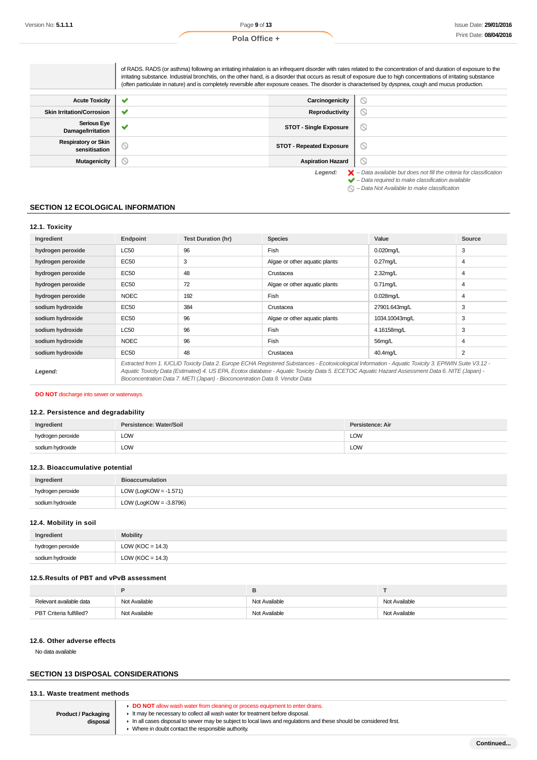$\bigcirc$  – Data Not Available to make classification

|                                             | of RADS. RADS (or asthma) following an irritating inhalation is an infrequent disorder with rates related to the concentration of and duration of exposure to the<br>irritating substance. Industrial bronchitis, on the other hand, is a disorder that occurs as result of exposure due to high concentrations of irritating substance<br>(often particulate in nature) and is completely reversible after exposure ceases. The disorder is characterised by dyspnea, cough and mucus production. |                                 |                                                                                                                                              |
|---------------------------------------------|----------------------------------------------------------------------------------------------------------------------------------------------------------------------------------------------------------------------------------------------------------------------------------------------------------------------------------------------------------------------------------------------------------------------------------------------------------------------------------------------------|---------------------------------|----------------------------------------------------------------------------------------------------------------------------------------------|
|                                             |                                                                                                                                                                                                                                                                                                                                                                                                                                                                                                    |                                 |                                                                                                                                              |
| <b>Acute Toxicity</b>                       | ັ                                                                                                                                                                                                                                                                                                                                                                                                                                                                                                  | Carcinogenicity                 | $\circledcirc$                                                                                                                               |
| <b>Skin Irritation/Corrosion</b>            | v                                                                                                                                                                                                                                                                                                                                                                                                                                                                                                  | <b>Reproductivity</b>           | $\circledcirc$                                                                                                                               |
| <b>Serious Eve</b><br>Damage/Irritation     | ັ                                                                                                                                                                                                                                                                                                                                                                                                                                                                                                  | <b>STOT - Single Exposure</b>   | $\circlearrowright$                                                                                                                          |
| <b>Respiratory or Skin</b><br>sensitisation | N                                                                                                                                                                                                                                                                                                                                                                                                                                                                                                  | <b>STOT - Repeated Exposure</b> | $\circ$                                                                                                                                      |
| Mutagenicity                                | $\circlearrowright$                                                                                                                                                                                                                                                                                                                                                                                                                                                                                | <b>Aspiration Hazard</b>        | $\circ$                                                                                                                                      |
|                                             |                                                                                                                                                                                                                                                                                                                                                                                                                                                                                                    | Legend:                         | - Data available but does not fill the criteria for classification<br>$\blacktriangleright$ - Data required to make classification available |

## **SECTION 12 ECOLOGICAL INFORMATION**

## **12.1. Toxicity**

| Ingredient        | Endpoint                                                                                                                                                                                                                                                                                                                                                                                 | <b>Test Duration (hr)</b> | <b>Species</b>                | Value          | Source         |
|-------------------|------------------------------------------------------------------------------------------------------------------------------------------------------------------------------------------------------------------------------------------------------------------------------------------------------------------------------------------------------------------------------------------|---------------------------|-------------------------------|----------------|----------------|
| hydrogen peroxide | LC50                                                                                                                                                                                                                                                                                                                                                                                     | 96                        | Fish                          | 0.020mg/L      | 3              |
| hydrogen peroxide | EC50                                                                                                                                                                                                                                                                                                                                                                                     | 3                         | Algae or other aquatic plants | $0.27$ mg/L    | 4              |
| hydrogen peroxide | <b>EC50</b>                                                                                                                                                                                                                                                                                                                                                                              | 48                        | Crustacea                     | $2.32$ mg/L    | 4              |
| hydrogen peroxide | EC50                                                                                                                                                                                                                                                                                                                                                                                     | 72                        | Algae or other aquatic plants | $0.71$ mg/L    | 4              |
| hydrogen peroxide | <b>NOEC</b>                                                                                                                                                                                                                                                                                                                                                                              | 192                       | Fish                          | $0.028$ mg/L   | 4              |
| sodium hydroxide  | <b>EC50</b>                                                                                                                                                                                                                                                                                                                                                                              | 384                       | Crustacea                     | 27901.643mg/L  | 3              |
| sodium hydroxide  | EC50                                                                                                                                                                                                                                                                                                                                                                                     | 96                        | Algae or other aquatic plants | 1034.10043mg/L | 3              |
| sodium hydroxide  | LC50                                                                                                                                                                                                                                                                                                                                                                                     | 96                        | Fish                          | 4.16158mg/L    | 3              |
| sodium hydroxide  | <b>NOEC</b>                                                                                                                                                                                                                                                                                                                                                                              | 96                        | Fish                          | 56mg/L         | 4              |
| sodium hydroxide  | EC50                                                                                                                                                                                                                                                                                                                                                                                     | 48                        | Crustacea                     | 40.4mg/L       | $\overline{2}$ |
| Legend:           | Extracted from 1. IUCLID Toxicity Data 2. Europe ECHA Registered Substances - Ecotoxicological Information - Aguatic Toxicity 3. EPIWIN Suite V3.12 -<br>Aquatic Toxicity Data (Estimated) 4. US EPA, Ecotox database - Aquatic Toxicity Data 5. ECETOC Aquatic Hazard Assessment Data 6. NITE (Japan) -<br>Bioconcentration Data 7. METI (Japan) - Bioconcentration Data 8. Vendor Data |                           |                               |                |                |

**DO NOT** discharge into sewer or waterways.

## **12.2. Persistence and degradability**

| Ingredient        | Persistence: Water/Soil | Persistence: Air |
|-------------------|-------------------------|------------------|
| hydrogen peroxide | LOW                     | LOW              |
| sodium hydroxide  | LOW                     | LOW              |

## **12.3. Bioaccumulative potential**

| Ingredient        | <b>Bioaccumulation</b>    |
|-------------------|---------------------------|
| hydrogen peroxide | LOW (LogKOW = $-1.571$ )  |
| sodium hydroxide  | LOW (LogKOW = $-3.8796$ ) |

## **12.4. Mobility in soil**

| Ingredient        | <b>Mobility</b>      |
|-------------------|----------------------|
| hydrogen peroxide | LOW ( $KOC = 14.3$ ) |
| sodium hydroxide  | LOW (KOC = $14.3$ )  |

## **12.5.Results of PBT and vPvB assessment**

| Relevant available data | Not Available | Not Available | Not Available |
|-------------------------|---------------|---------------|---------------|
| PBT Criteria fulfilled? | Not Available | Not Available | Not Available |

#### **12.6. Other adverse effects**

No data available

### **SECTION 13 DISPOSAL CONSIDERATIONS**

#### **13.1. Waste treatment methods**

| <b>• DO NOT</b> allow wash water from cleaning or process equipment to enter drains.<br>If It may be necessary to collect all wash water for treatment before disposal.<br><b>Product / Packaging</b><br>In all cases disposal to sewer may be subject to local laws and regulations and these should be considered first.<br>disposal<br>• Where in doubt contact the responsible authority. |
|-----------------------------------------------------------------------------------------------------------------------------------------------------------------------------------------------------------------------------------------------------------------------------------------------------------------------------------------------------------------------------------------------|
|-----------------------------------------------------------------------------------------------------------------------------------------------------------------------------------------------------------------------------------------------------------------------------------------------------------------------------------------------------------------------------------------------|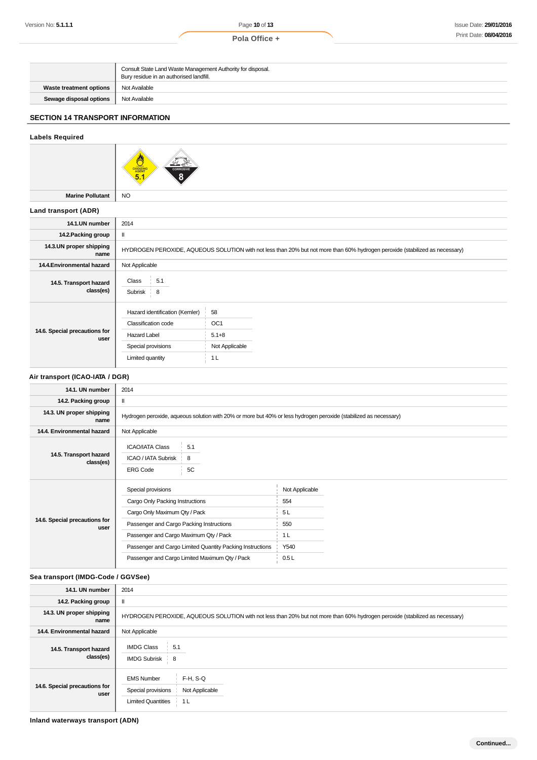|                         | Consult State Land Waste Management Authority for disposal.<br>Bury residue in an authorised landfill. |
|-------------------------|--------------------------------------------------------------------------------------------------------|
| Waste treatment options | Not Available                                                                                          |
| Sewage disposal options | Not Available                                                                                          |

## **SECTION 14 TRANSPORT INFORMATION**

## **Labels Required**



**Marine Pollutant** NO

## **Land transport (ADR)**

| 14.1.UN number                        | 2014                           |                                                                                                                              |
|---------------------------------------|--------------------------------|------------------------------------------------------------------------------------------------------------------------------|
| 14.2. Packing group                   |                                |                                                                                                                              |
| 14.3.UN proper shipping<br>name       |                                | HYDROGEN PEROXIDE, AQUEOUS SOLUTION with not less than 20% but not more than 60% hydrogen peroxide (stabilized as necessary) |
| 14.4. Environmental hazard            | Not Applicable                 |                                                                                                                              |
| 14.5. Transport hazard<br>class(es)   | 5.1<br>Class<br>Subrisk 8      |                                                                                                                              |
|                                       | Hazard identification (Kemler) | 58                                                                                                                           |
| 14.6. Special precautions for<br>user | Classification code            | OC <sub>1</sub>                                                                                                              |
|                                       | <b>Hazard Label</b>            | $5.1 + 8$                                                                                                                    |
|                                       | Special provisions             | Not Applicable                                                                                                               |
|                                       | Limited quantity               | 1 <sub>L</sub>                                                                                                               |

## **Air transport (ICAO-IATA / DGR)**

| 14.1. UN number                       | 2014                                                                                                             |                |  |
|---------------------------------------|------------------------------------------------------------------------------------------------------------------|----------------|--|
| 14.2. Packing group                   | Ш                                                                                                                |                |  |
| 14.3. UN proper shipping<br>name      | Hydrogen peroxide, aqueous solution with 20% or more but 40% or less hydrogen peroxide (stabilized as necessary) |                |  |
| 14.4. Environmental hazard            | Not Applicable                                                                                                   |                |  |
| 14.5. Transport hazard<br>class(es)   | 5.1<br><b>ICAO/IATA Class</b><br>ICAO / IATA Subrisk<br>8<br>5C<br><b>ERG Code</b>                               |                |  |
|                                       | Special provisions                                                                                               | Not Applicable |  |
|                                       | Cargo Only Packing Instructions                                                                                  | 554            |  |
|                                       | Cargo Only Maximum Qty / Pack                                                                                    | 5L             |  |
| 14.6. Special precautions for<br>user | Passenger and Cargo Packing Instructions                                                                         | 550            |  |
|                                       | Passenger and Cargo Maximum Qty / Pack                                                                           | 1 <sub>L</sub> |  |
|                                       | Passenger and Cargo Limited Quantity Packing Instructions                                                        | Y540           |  |
|                                       | Passenger and Cargo Limited Maximum Qty / Pack                                                                   | 0.5L           |  |
|                                       |                                                                                                                  |                |  |

## **Sea transport (IMDG-Code / GGVSee)**

| 14.1. UN number                       | 2014                                                                                                                         |  |  |
|---------------------------------------|------------------------------------------------------------------------------------------------------------------------------|--|--|
| 14.2. Packing group                   | Ш                                                                                                                            |  |  |
| 14.3. UN proper shipping<br>name      | HYDROGEN PEROXIDE, AQUEOUS SOLUTION with not less than 20% but not more than 60% hydrogen peroxide (stabilized as necessary) |  |  |
| 14.4. Environmental hazard            | Not Applicable                                                                                                               |  |  |
| 14.5. Transport hazard<br>class(es)   | <b>IMDG Class</b><br>5.1<br><b>IMDG Subrisk</b><br><b>8</b>                                                                  |  |  |
| 14.6. Special precautions for<br>user | $F-H$ , S-Q<br><b>EMS Number</b><br>Special provisions<br>Not Applicable<br><b>Limited Quantities</b><br>1 L                 |  |  |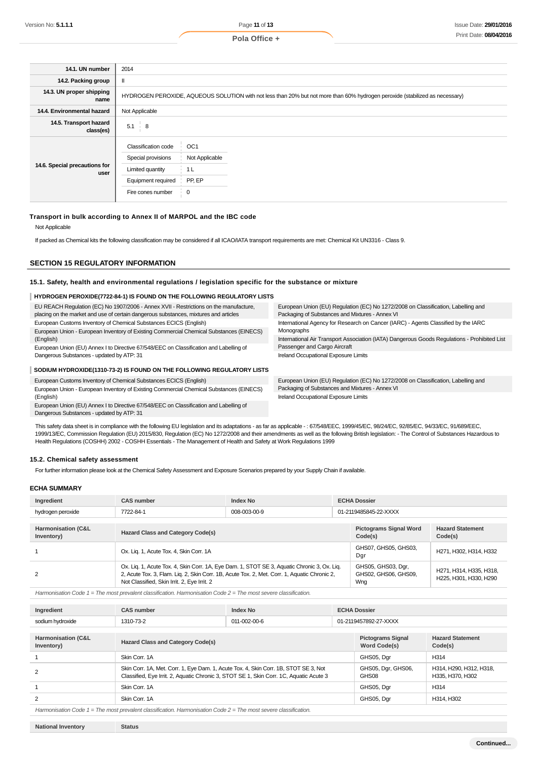| 14.1. UN number                       | 2014                                                                                                                                                                                        |  |  |
|---------------------------------------|---------------------------------------------------------------------------------------------------------------------------------------------------------------------------------------------|--|--|
| 14.2. Packing group                   | Ш                                                                                                                                                                                           |  |  |
| 14.3. UN proper shipping<br>name      | HYDROGEN PEROXIDE, AQUEOUS SOLUTION with not less than 20% but not more than 60% hydrogen peroxide (stabilized as necessary)                                                                |  |  |
| 14.4. Environmental hazard            | Not Applicable                                                                                                                                                                              |  |  |
| 14.5. Transport hazard<br>class(es)   | 5.1<br>່ 8                                                                                                                                                                                  |  |  |
| 14.6. Special precautions for<br>user | Classification code<br>OC <sub>1</sub><br>Special provisions<br>Not Applicable<br>Limited quantity<br>1 <sub>L</sub><br>PP, EP<br>Equipment required<br>Fire cones number<br>$\overline{0}$ |  |  |

### **Transport in bulk according to Annex II of MARPOL and the IBC code**

Not Applicable

If packed as Chemical kits the following classification may be considered if all ICAO/IATA transport requirements are met: Chemical Kit UN3316 - Class 9.

#### **SECTION 15 REGULATORY INFORMATION**

### **15.1. Safety, health and environmental regulations / legislation specific for the substance or mixture**

#### **HYDROGEN PEROXIDE(7722-84-1) IS FOUND ON THE FOLLOWING REGULATORY LISTS**

| EU REACH Regulation (EC) No 1907/2006 - Annex XVII - Restrictions on the manufacture,<br>placing on the market and use of certain dangerous substances, mixtures and articles | European Union (EU) Regulation (EC) No 1272/2008 on Classification, Labelling and<br>Packaging of Substances and Mixtures - Annex VI |  |
|-------------------------------------------------------------------------------------------------------------------------------------------------------------------------------|--------------------------------------------------------------------------------------------------------------------------------------|--|
| European Customs Inventory of Chemical Substances ECICS (English)                                                                                                             | International Agency for Research on Cancer (IARC) - Agents Classified by the IARC                                                   |  |
| European Union - European Inventory of Existing Commercial Chemical Substances (EINECS)                                                                                       | Monographs                                                                                                                           |  |
| (English)                                                                                                                                                                     | International Air Transport Association (IATA) Dangerous Goods Regulations - Prohibited List                                         |  |
| European Union (EU) Annex I to Directive 67/548/EEC on Classification and Labelling of                                                                                        | Passenger and Cargo Aircraft                                                                                                         |  |
| Dangerous Substances - updated by ATP: 31                                                                                                                                     | Ireland Occupational Exposure Limits                                                                                                 |  |
|                                                                                                                                                                               |                                                                                                                                      |  |
| SODIUM HYDROXIDE(1310-73-2) IS FOUND ON THE FOLLOWING REGULATORY LISTS                                                                                                        |                                                                                                                                      |  |
| European Customs Inventory of Chemical Substances ECICS (English)                                                                                                             | European Union (EU) Regulation (EC) No 1272/2008 on Classification, Labelling and<br>Packaging of Substances and Mixtures - Annex VI |  |
| European Union - European Inventory of Existing Commercial Chemical Substances (EINECS)                                                                                       |                                                                                                                                      |  |

European Union - European Inventory of Existing Commercial Chemical Substances (EINECS) (English)

European Union (EU) Annex I to Directive 67/548/EEC on Classification and Labelling of Dangerous Substances - updated by ATP: 31

This safety data sheet is in compliance with the following EU legislation and its adaptations - as far as applicable -: 67/548/EEC, 1999/45/EC, 98/24/EC, 92/85/EC, 94/33/EC, 91/689/EEC, 1999/13/EC, Commission Regulation (EU) 2015/830, Regulation (EC) No 1272/2008 and their amendments as well as the following British legislation: - The Control of Substances Hazardous to Health Regulations (COSHH) 2002 - COSHH Essentials - The Management of Health and Safety at Work Regulations 1999

Ireland Occupational Exposure Limits

#### **15.2. Chemical safety assessment**

For further information please look at the Chemical Safety Assessment and Exposure Scenarios prepared by your Supply Chain if available.

#### **ECHA SUMMARY**

| Ingredient                                  | <b>CAS number</b>                                                                                                                                                                                                                          | <b>Index No</b> |                                                   | <b>ECHA Dossier</b>                               |  |  |
|---------------------------------------------|--------------------------------------------------------------------------------------------------------------------------------------------------------------------------------------------------------------------------------------------|-----------------|---------------------------------------------------|---------------------------------------------------|--|--|
| hydrogen peroxide                           | 7722-84-1<br>008-003-00-9                                                                                                                                                                                                                  |                 |                                                   | 01-2119485845-22-XXXX                             |  |  |
|                                             |                                                                                                                                                                                                                                            |                 |                                                   |                                                   |  |  |
| <b>Harmonisation (C&amp;L</b><br>Inventory) | <b>Hazard Class and Category Code(s)</b>                                                                                                                                                                                                   |                 | <b>Pictograms Signal Word</b><br>Code(s)          | <b>Hazard Statement</b><br>Code(s)                |  |  |
|                                             | Ox. Lig. 1, Acute Tox. 4, Skin Corr. 1A                                                                                                                                                                                                    |                 | GHS07, GHS05, GHS03,<br>Dar                       | H271, H302, H314, H332                            |  |  |
| 2                                           | Ox. Lig. 1, Acute Tox. 4, Skin Corr. 1A, Eye Dam. 1, STOT SE 3, Aquatic Chronic 3, Ox. Lig.<br>2, Acute Tox. 3, Flam. Lig. 2, Skin Corr. 1B, Acute Tox. 2, Met. Corr. 1, Aquatic Chronic 2,<br>Not Classified, Skin Irrit. 2, Eye Irrit. 2 |                 | GHS05, GHS03, Dgr,<br>GHS02, GHS06, GHS09,<br>Wng | H271, H314, H335, H318,<br>H225, H301, H330, H290 |  |  |

Harmonisation Code 1 = The most prevalent classification. Harmonisation Code 2 = The most severe classification.

| Ingredient                                                                                                           | <b>CAS number</b>                                                                                                                                                              | <b>Index No</b>      | <b>ECHA Dossier</b>   |                                                 |                                             |
|----------------------------------------------------------------------------------------------------------------------|--------------------------------------------------------------------------------------------------------------------------------------------------------------------------------|----------------------|-----------------------|-------------------------------------------------|---------------------------------------------|
| sodium hydroxide                                                                                                     | 1310-73-2                                                                                                                                                                      | $011 - 002 - 00 - 6$ | 01-2119457892-27-XXXX |                                                 |                                             |
|                                                                                                                      |                                                                                                                                                                                |                      |                       |                                                 |                                             |
| <b>Harmonisation (C&amp;L</b><br>Inventory)                                                                          | <b>Hazard Class and Category Code(s)</b>                                                                                                                                       |                      |                       | <b>Pictograms Signal</b><br><b>Word Code(s)</b> | <b>Hazard Statement</b><br>Code(s)          |
|                                                                                                                      | Skin Corr. 1A                                                                                                                                                                  |                      |                       | GHS05, Dgr                                      | H314                                        |
| 2                                                                                                                    | Skin Corr. 1A, Met. Corr. 1, Eye Dam. 1, Acute Tox. 4, Skin Corr. 1B, STOT SE 3, Not<br>Classified, Eye Irrit. 2, Aquatic Chronic 3, STOT SE 1, Skin Corr. 1C, Aquatic Acute 3 |                      |                       | GHS05, Dgr, GHS06,<br>GHS08                     | H314, H290, H312, H318,<br>H335, H370, H302 |
|                                                                                                                      | Skin Corr. 1A                                                                                                                                                                  |                      |                       | GHS05, Dgr                                      | H <sub>314</sub>                            |
| 2                                                                                                                    | Skin Corr. 1A                                                                                                                                                                  |                      |                       | GHS05, Dgr                                      | H314, H302                                  |
| Harmonisation Code $1 =$ The most prevalent classification. Harmonisation Code $2 =$ The most severe classification. |                                                                                                                                                                                |                      |                       |                                                 |                                             |
|                                                                                                                      |                                                                                                                                                                                |                      |                       |                                                 |                                             |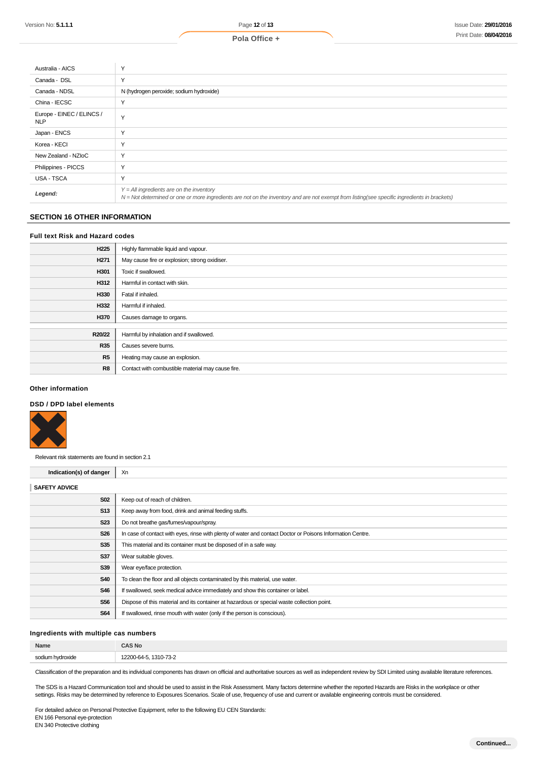| Australia - AICS                        | $\vee$                                                                                                                                                                                     |
|-----------------------------------------|--------------------------------------------------------------------------------------------------------------------------------------------------------------------------------------------|
| Canada - DSL                            | Y                                                                                                                                                                                          |
| Canada - NDSL                           | N (hydrogen peroxide; sodium hydroxide)                                                                                                                                                    |
| China - IECSC                           | $\checkmark$                                                                                                                                                                               |
| Europe - EINEC / ELINCS /<br><b>NLP</b> | $\checkmark$                                                                                                                                                                               |
| Japan - ENCS                            | Y                                                                                                                                                                                          |
| Korea - KECI                            | $\checkmark$                                                                                                                                                                               |
| New Zealand - NZIoC                     | $\checkmark$                                                                                                                                                                               |
| Philippines - PICCS                     | $\checkmark$                                                                                                                                                                               |
| USA - TSCA                              | $\checkmark$                                                                                                                                                                               |
| Legend:                                 | $Y = All$ ingredients are on the inventory<br>N = Not determined or one or more ingredients are not on the inventory and are not exempt from listing(see specific ingredients in brackets) |

## **SECTION 16 OTHER INFORMATION**

## **Full text Risk and Hazard codes**

| H <sub>225</sub> | Highly flammable liquid and vapour.               |
|------------------|---------------------------------------------------|
| H <sub>271</sub> | May cause fire or explosion; strong oxidiser.     |
| H301             | Toxic if swallowed.                               |
| H312             | Harmful in contact with skin.                     |
| H330             | Fatal if inhaled.                                 |
| H332             | Harmful if inhaled.                               |
| H370             | Causes damage to organs.                          |
|                  |                                                   |
| R20/22           | Harmful by inhalation and if swallowed.           |
| <b>R35</b>       | Causes severe burns.                              |
| R5               | Heating may cause an explosion.                   |
| R8               | Contact with combustible material may cause fire. |

#### **Other information**

## **DSD / DPD label elements**



Relevant risk statements are found in section 2.1

| Indication(s) of danger | Xn                                                                                                         |
|-------------------------|------------------------------------------------------------------------------------------------------------|
| <b>SAFETY ADVICE</b>    |                                                                                                            |
| <b>S02</b>              | Keep out of reach of children.                                                                             |
| S <sub>13</sub>         | Keep away from food, drink and animal feeding stuffs.                                                      |
| <b>S23</b>              | Do not breathe gas/fumes/vapour/spray.                                                                     |
| <b>S26</b>              | In case of contact with eyes, rinse with plenty of water and contact Doctor or Poisons Information Centre. |
| S35                     | This material and its container must be disposed of in a safe way.                                         |
| S37                     | Wear suitable gloves.                                                                                      |
| S39                     | Wear eye/face protection.                                                                                  |
| <b>S40</b>              | To clean the floor and all objects contaminated by this material, use water.                               |
| S46                     | If swallowed, seek medical advice immediately and show this container or label.                            |
| <b>S56</b>              | Dispose of this material and its container at hazardous or special waste collection point.                 |
| <b>S64</b>              | If swallowed, rinse mouth with water (only if the person is conscious).                                    |
|                         |                                                                                                            |

### **Ingredients with multiple cas numbers**

| Name                         | AS No                     |
|------------------------------|---------------------------|
| endium l<br><b>hvdroxide</b> | $12200 - 64$<br>1310-73-2 |
|                              |                           |

Classification of the preparation and its individual components has drawn on official and authoritative sources as well as independent review by SDI Limited using available literature references.

The SDS is a Hazard Communication tool and should be used to assist in the Risk Assessment. Many factors determine whether the reported Hazards are Risks in the workplace or other settings. Risks may be determined by reference to Exposures Scenarios. Scale of use, frequency of use and current or available engineering controls must be considered.

For detailed advice on Personal Protective Equipment, refer to the following EU CEN Standards: EN 166 Personal eye-protection

EN 340 Protective clothing